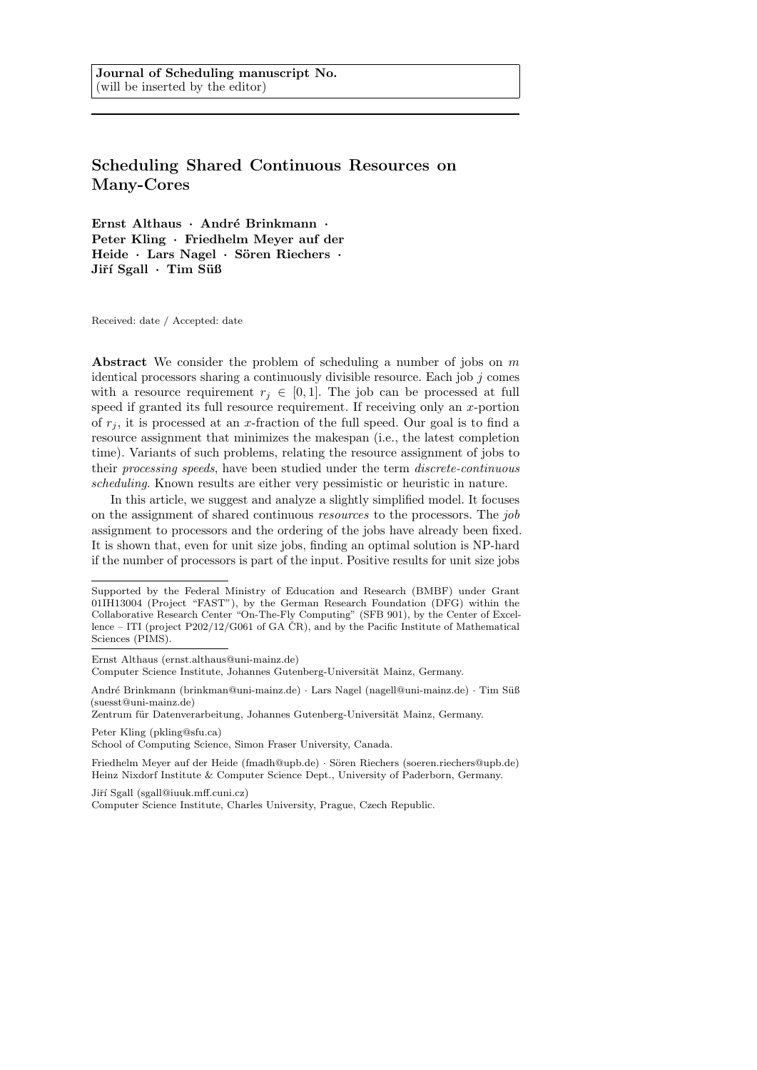# Scheduling Shared Continuous Resources on Many-Cores

Ernst Althaus · André Brinkmann · Peter Kling · Friedhelm Meyer auf der Heide · Lars Nagel · Sören Riechers · Jiří Sgall · Tim Süß

Received: date / Accepted: date

Abstract We consider the problem of scheduling a number of jobs on  $m$ identical processors sharing a continuously divisible resource. Each job j comes with a resource requirement  $r_j \in [0,1]$ . The job can be processed at full speed if granted its full resource requirement. If receiving only an x-portion of  $r_i$ , it is processed at an x-fraction of the full speed. Our goal is to find a resource assignment that minimizes the makespan (i.e., the latest completion time). Variants of such problems, relating the resource assignment of jobs to their processing speeds, have been studied under the term discrete-continuous scheduling. Known results are either very pessimistic or heuristic in nature.

In this article, we suggest and analyze a slightly simplified model. It focuses on the assignment of shared continuous resources to the processors. The job assignment to processors and the ordering of the jobs have already been fixed. It is shown that, even for unit size jobs, finding an optimal solution is NP-hard if the number of processors is part of the input. Positive results for unit size jobs

Ernst Althaus (ernst.althaus@uni-mainz.de)

 $\!$  Computer Science Institute, Johannes Gutenberg-Universität Mainz, Germany.

André Brinkmann (brinkman@uni-mainz.de) · Lars Nagel (nagell@uni-mainz.de) · Tim Süß (suesst@uni-mainz.de)

Zentrum für Datenverarbeitung, Johannes Gutenberg-Universität Mainz, Germany.

Peter Kling (pkling@sfu.ca)

School of Computing Science, Simon Fraser University, Canada.

Friedhelm Meyer auf der Heide (fmadh@upb.de) · Sören Riechers (soeren.riechers@upb.de) Heinz Nixdorf Institute & Computer Science Dept., University of Paderborn, Germany.

Jiří Sgall (sgall@iuuk.mff.cuni.cz)

Computer Science Institute, Charles University, Prague, Czech Republic.

Supported by the Federal Ministry of Education and Research (BMBF) under Grant 01IH13004 (Project "FAST"), by the German Research Foundation (DFG) within the Collaborative Research Center "On-The-Fly Computing" (SFB 901), by the Center of Excellence – ITI (project P202/12/G061 of GA ČR), and by the Pacific Institute of Mathematical Sciences (PIMS).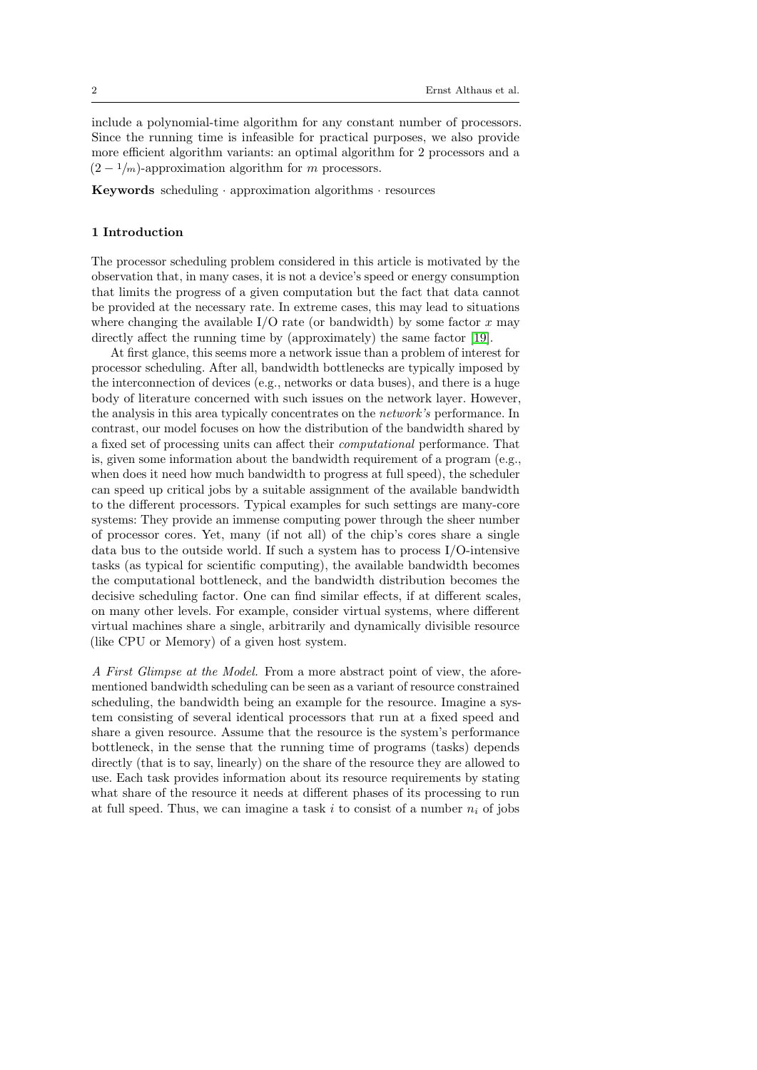include a polynomial-time algorithm for any constant number of processors. Since the running time is infeasible for practical purposes, we also provide more efficient algorithm variants: an optimal algorithm for 2 processors and a  $(2 - \frac{1}{m})$ -approximation algorithm for m processors.

Keywords scheduling · approximation algorithms · resources

# 1 Introduction

The processor scheduling problem considered in this article is motivated by the observation that, in many cases, it is not a device's speed or energy consumption that limits the progress of a given computation but the fact that data cannot be provided at the necessary rate. In extreme cases, this may lead to situations where changing the available I/O rate (or bandwidth) by some factor  $x$  may directly affect the running time by (approximately) the same factor [\[19\]](#page-27-0).

At first glance, this seems more a network issue than a problem of interest for processor scheduling. After all, bandwidth bottlenecks are typically imposed by the interconnection of devices (e.g., networks or data buses), and there is a huge body of literature concerned with such issues on the network layer. However, the analysis in this area typically concentrates on the network's performance. In contrast, our model focuses on how the distribution of the bandwidth shared by a fixed set of processing units can affect their computational performance. That is, given some information about the bandwidth requirement of a program (e.g., when does it need how much bandwidth to progress at full speed), the scheduler can speed up critical jobs by a suitable assignment of the available bandwidth to the different processors. Typical examples for such settings are many-core systems: They provide an immense computing power through the sheer number of processor cores. Yet, many (if not all) of the chip's cores share a single data bus to the outside world. If such a system has to process I/O-intensive tasks (as typical for scientific computing), the available bandwidth becomes the computational bottleneck, and the bandwidth distribution becomes the decisive scheduling factor. One can find similar effects, if at different scales, on many other levels. For example, consider virtual systems, where different virtual machines share a single, arbitrarily and dynamically divisible resource (like CPU or Memory) of a given host system.

A First Glimpse at the Model. From a more abstract point of view, the aforementioned bandwidth scheduling can be seen as a variant of resource constrained scheduling, the bandwidth being an example for the resource. Imagine a system consisting of several identical processors that run at a fixed speed and share a given resource. Assume that the resource is the system's performance bottleneck, in the sense that the running time of programs (tasks) depends directly (that is to say, linearly) on the share of the resource they are allowed to use. Each task provides information about its resource requirements by stating what share of the resource it needs at different phases of its processing to run at full speed. Thus, we can imagine a task i to consist of a number  $n_i$  of jobs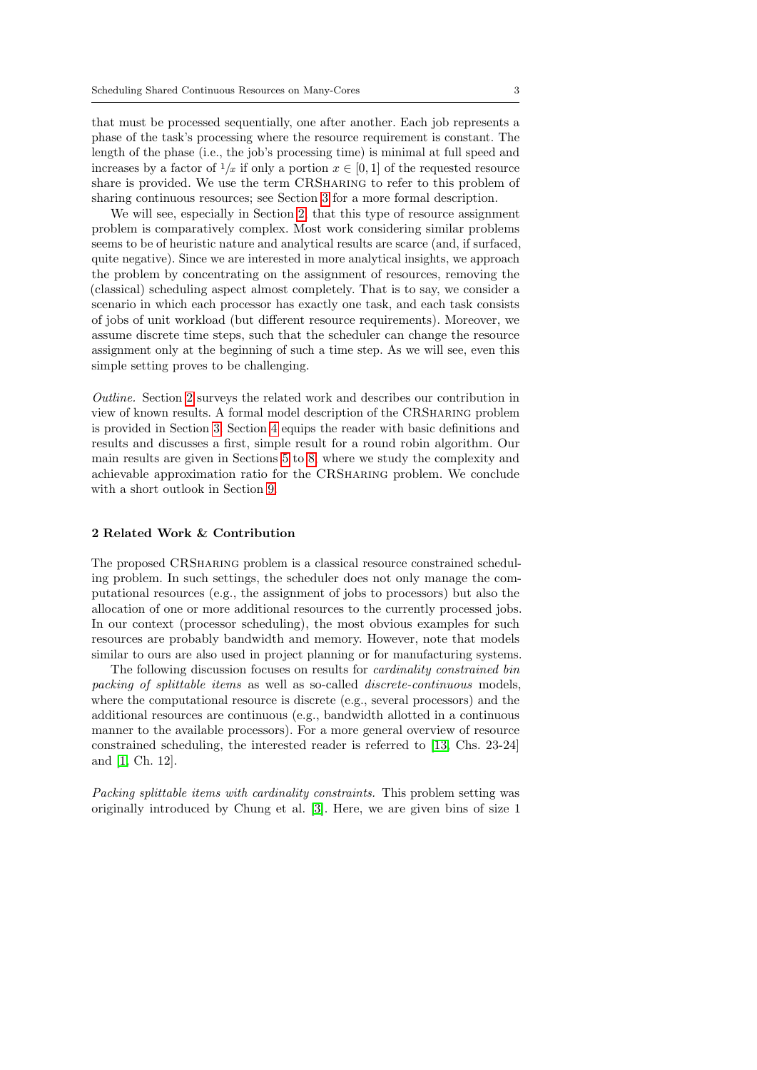that must be processed sequentially, one after another. Each job represents a phase of the task's processing where the resource requirement is constant. The length of the phase (i.e., the job's processing time) is minimal at full speed and increases by a factor of  $1/x$  if only a portion  $x \in [0,1]$  of the requested resource share is provided. We use the term CRSHARING to refer to this problem of sharing continuous resources; see Section [3](#page-4-0) for a more formal description.

We will see, especially in Section [2,](#page-2-0) that this type of resource assignment problem is comparatively complex. Most work considering similar problems seems to be of heuristic nature and analytical results are scarce (and, if surfaced, quite negative). Since we are interested in more analytical insights, we approach the problem by concentrating on the assignment of resources, removing the (classical) scheduling aspect almost completely. That is to say, we consider a scenario in which each processor has exactly one task, and each task consists of jobs of unit workload (but different resource requirements). Moreover, we assume discrete time steps, such that the scheduler can change the resource assignment only at the beginning of such a time step. As we will see, even this simple setting proves to be challenging.

Outline. Section [2](#page-2-0) surveys the related work and describes our contribution in view of known results. A formal model description of the CRSharing problem is provided in Section [3.](#page-4-0) Section [4](#page-8-0) equips the reader with basic definitions and results and discusses a first, simple result for a round robin algorithm. Our main results are given in Sections [5](#page-12-0) to [8,](#page-20-0) where we study the complexity and achievable approximation ratio for the CRSharing problem. We conclude with a short outlook in Section [9.](#page-25-0)

# <span id="page-2-0"></span>2 Related Work & Contribution

The proposed CRSharing problem is a classical resource constrained scheduling problem. In such settings, the scheduler does not only manage the computational resources (e.g., the assignment of jobs to processors) but also the allocation of one or more additional resources to the currently processed jobs. In our context (processor scheduling), the most obvious examples for such resources are probably bandwidth and memory. However, note that models similar to ours are also used in project planning or for manufacturing systems.

The following discussion focuses on results for *cardinality constrained bin* packing of splittable items as well as so-called discrete-continuous models, where the computational resource is discrete (e.g., several processors) and the additional resources are continuous (e.g., bandwidth allotted in a continuous manner to the available processors). For a more general overview of resource constrained scheduling, the interested reader is referred to [\[13,](#page-27-1) Chs. 23-24] and [\[1,](#page-27-2) Ch. 12].

Packing splittable items with cardinality constraints. This problem setting was originally introduced by Chung et al. [\[3\]](#page-27-3). Here, we are given bins of size 1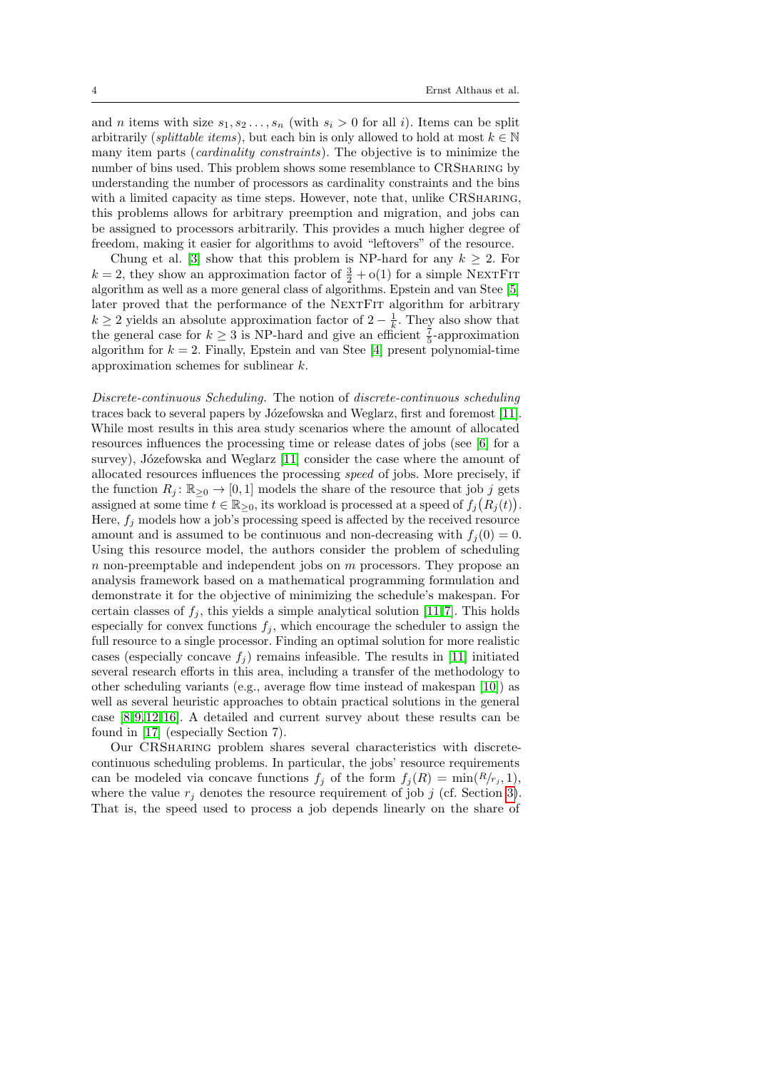and *n* items with size  $s_1, s_2, \ldots, s_n$  (with  $s_i > 0$  for all *i*). Items can be split arbitrarily (splittable items), but each bin is only allowed to hold at most  $k \in \mathbb{N}$ many item parts *(cardinality constraints)*. The objective is to minimize the number of bins used. This problem shows some resemblance to CRSHARING by understanding the number of processors as cardinality constraints and the bins with a limited capacity as time steps. However, note that, unlike CRSHARING, this problems allows for arbitrary preemption and migration, and jobs can be assigned to processors arbitrarily. This provides a much higher degree of freedom, making it easier for algorithms to avoid "leftovers" of the resource.

Chung et al. [\[3\]](#page-27-3) show that this problem is NP-hard for any  $k \geq 2$ . For  $k = 2$ , they show an approximation factor of  $\frac{3}{2} + o(1)$  for a simple NEXTFIT algorithm as well as a more general class of algorithms. Epstein and van Stee [\[5\]](#page-27-4) later proved that the performance of the NEXTFIT algorithm for arbitrary  $k \geq 2$  yields an absolute approximation factor of  $2 - \frac{1}{k}$ . They also show that the general case for  $k \geq 3$  is NP-hard and give an efficient  $\frac{7}{5}$ -approximation algorithm for  $k = 2$ . Finally, Epstein and van Stee [\[4\]](#page-27-5) present polynomial-time approximation schemes for sublinear k.

Discrete-continuous Scheduling. The notion of discrete-continuous scheduling traces back to several papers by Józefowska and Weglarz, first and foremost [\[11\]](#page-27-6). While most results in this area study scenarios where the amount of allocated resources influences the processing time or release dates of jobs (see [\[6\]](#page-27-7) for a survey), Józefowska and Weglarz [\[11\]](#page-27-6) consider the case where the amount of allocated resources influences the processing speed of jobs. More precisely, if the function  $R_j: \mathbb{R}_{\geq 0} \to [0,1]$  models the share of the resource that job j gets assigned at some time  $t \in \mathbb{R}_{\geq 0}$ , its workload is processed at a speed of  $f_j(R_j(t))$ . Here,  $f_j$  models how a job's processing speed is affected by the received resource amount and is assumed to be continuous and non-decreasing with  $f_i(0) = 0$ . Using this resource model, the authors consider the problem of scheduling n non-preemptable and independent jobs on m processors. They propose an analysis framework based on a mathematical programming formulation and demonstrate it for the objective of minimizing the schedule's makespan. For certain classes of  $f_i$ , this yields a simple analytical solution [\[11,](#page-27-6)[7\]](#page-27-8). This holds especially for convex functions  $f_i$ , which encourage the scheduler to assign the full resource to a single processor. Finding an optimal solution for more realistic cases (especially concave  $f_i$ ) remains infeasible. The results in [\[11\]](#page-27-6) initiated several research efforts in this area, including a transfer of the methodology to other scheduling variants (e.g., average flow time instead of makespan [\[10\]](#page-27-9)) as well as several heuristic approaches to obtain practical solutions in the general case [\[8,](#page-27-10)[9,](#page-27-11)[12,](#page-27-12)[16\]](#page-27-13). A detailed and current survey about these results can be found in [\[17\]](#page-27-14) (especially Section 7).

Our CRSharing problem shares several characteristics with discretecontinuous scheduling problems. In particular, the jobs' resource requirements can be modeled via concave functions  $f_j$  of the form  $f_j(R) = \min(R/r_j, 1)$ , where the value  $r_i$  denotes the resource requirement of job j (cf. Section [3\)](#page-4-0). That is, the speed used to process a job depends linearly on the share of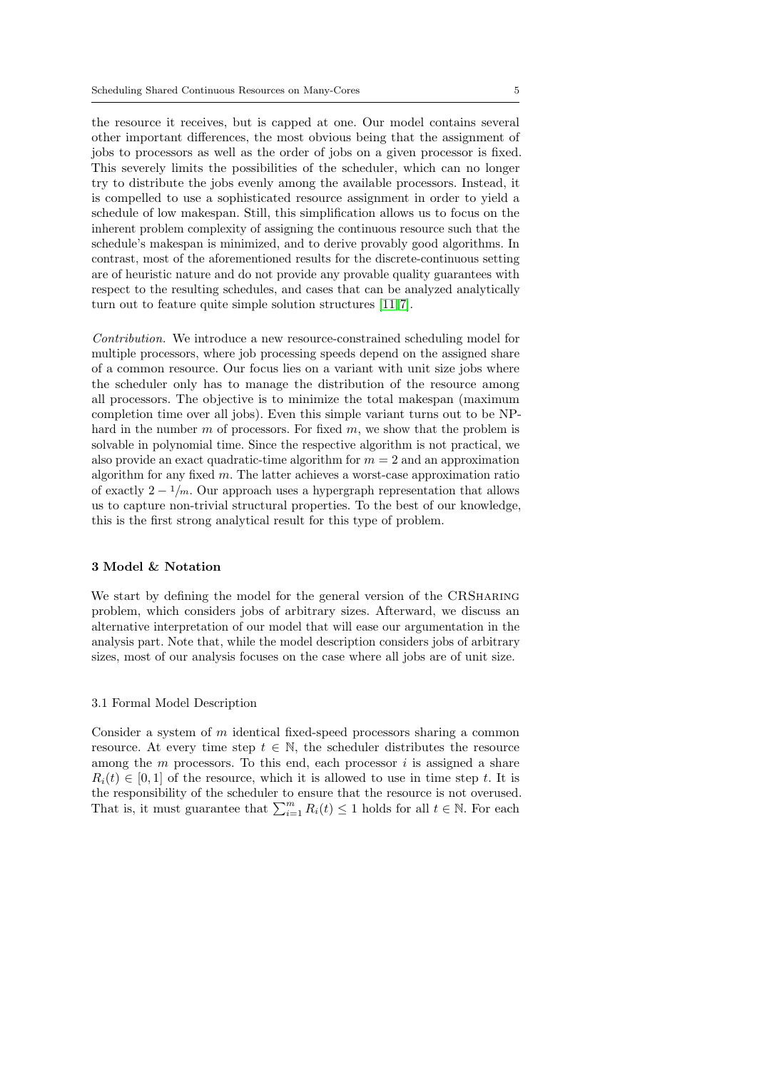the resource it receives, but is capped at one. Our model contains several other important differences, the most obvious being that the assignment of jobs to processors as well as the order of jobs on a given processor is fixed. This severely limits the possibilities of the scheduler, which can no longer try to distribute the jobs evenly among the available processors. Instead, it is compelled to use a sophisticated resource assignment in order to yield a schedule of low makespan. Still, this simplification allows us to focus on the inherent problem complexity of assigning the continuous resource such that the schedule's makespan is minimized, and to derive provably good algorithms. In contrast, most of the aforementioned results for the discrete-continuous setting are of heuristic nature and do not provide any provable quality guarantees with respect to the resulting schedules, and cases that can be analyzed analytically turn out to feature quite simple solution structures [\[11,](#page-27-6) [7\]](#page-27-8).

Contribution. We introduce a new resource-constrained scheduling model for multiple processors, where job processing speeds depend on the assigned share of a common resource. Our focus lies on a variant with unit size jobs where the scheduler only has to manage the distribution of the resource among all processors. The objective is to minimize the total makespan (maximum completion time over all jobs). Even this simple variant turns out to be NPhard in the number  $m$  of processors. For fixed  $m$ , we show that the problem is solvable in polynomial time. Since the respective algorithm is not practical, we also provide an exact quadratic-time algorithm for  $m = 2$  and an approximation algorithm for any fixed  $m$ . The latter achieves a worst-case approximation ratio of exactly  $2 - \frac{1}{m}$ . Our approach uses a hypergraph representation that allows us to capture non-trivial structural properties. To the best of our knowledge, this is the first strong analytical result for this type of problem.

## <span id="page-4-0"></span>3 Model & Notation

We start by defining the model for the general version of the CRSHARING problem, which considers jobs of arbitrary sizes. Afterward, we discuss an alternative interpretation of our model that will ease our argumentation in the analysis part. Note that, while the model description considers jobs of arbitrary sizes, most of our analysis focuses on the case where all jobs are of unit size.

## 3.1 Formal Model Description

Consider a system of m identical fixed-speed processors sharing a common resource. At every time step  $t \in \mathbb{N}$ , the scheduler distributes the resource among the  $m$  processors. To this end, each processor  $i$  is assigned a share  $R_i(t) \in [0,1]$  of the resource, which it is allowed to use in time step t. It is the responsibility of the scheduler to ensure that the resource is not overused. That is, it must guarantee that  $\sum_{i=1}^{m} R_i(t) \leq 1$  holds for all  $t \in \mathbb{N}$ . For each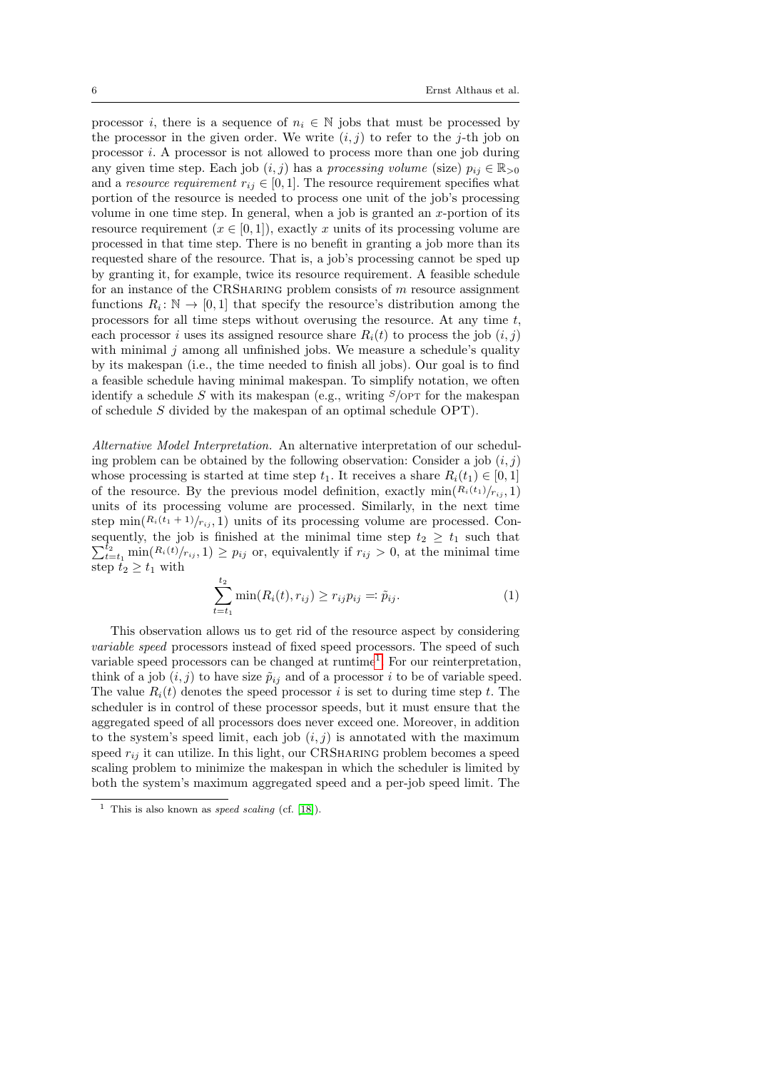processor i, there is a sequence of  $n_i \in \mathbb{N}$  jobs that must be processed by the processor in the given order. We write  $(i, j)$  to refer to the j-th job on processor i. A processor is not allowed to process more than one job during any given time step. Each job  $(i, j)$  has a processing volume (size)  $p_{ij} \in \mathbb{R}_{>0}$ and a resource requirement  $r_{ij} \in [0, 1]$ . The resource requirement specifies what portion of the resource is needed to process one unit of the job's processing volume in one time step. In general, when a job is granted an  $x$ -portion of its resource requirement  $(x \in [0,1])$ , exactly x units of its processing volume are processed in that time step. There is no benefit in granting a job more than its requested share of the resource. That is, a job's processing cannot be sped up by granting it, for example, twice its resource requirement. A feasible schedule for an instance of the CRSharing problem consists of m resource assignment functions  $R_i: \mathbb{N} \to [0,1]$  that specify the resource's distribution among the processors for all time steps without overusing the resource. At any time  $t$ , each processor i uses its assigned resource share  $R_i(t)$  to process the job  $(i, j)$ with minimal  $j$  among all unfinished jobs. We measure a schedule's quality by its makespan (i.e., the time needed to finish all jobs). Our goal is to find a feasible schedule having minimal makespan. To simplify notation, we often identify a schedule S with its makespan (e.g., writing  $S/\text{OPT}$  for the makespan of schedule S divided by the makespan of an optimal schedule OPT).

<span id="page-5-1"></span>Alternative Model Interpretation. An alternative interpretation of our scheduling problem can be obtained by the following observation: Consider a job  $(i, j)$ whose processing is started at time step  $t_1$ . It receives a share  $R_i(t_1) \in [0,1]$ of the resource. By the previous model definition, exactly  $\min(R_i(t_1)/r_{ij}, 1)$ units of its processing volume are processed. Similarly, in the next time step min $(R_i(t_1 + 1)/r_{ij}, 1)$  units of its processing volume are processed. Consequently, the job is finished at the minimal time step  $t_2 \geq t_1$  such that  $\sum_{t=t_1}^{\bar{t}_2} \min(R_i(t)/r_{ij}, 1) \ge p_{ij}$  or, equivalently if  $r_{ij} > 0$ , at the minimal time step  $t_2 \geq t_1$  with

$$
\sum_{t=t_1}^{t_2} \min(R_i(t), r_{ij}) \ge r_{ij} p_{ij} =: \tilde{p}_{ij}.
$$
 (1)

This observation allows us to get rid of the resource aspect by considering variable speed processors instead of fixed speed processors. The speed of such variable speed processors can be changed at runtime<sup>[1](#page-5-0)</sup>. For our reinterpretation, think of a job  $(i, j)$  to have size  $\tilde{p}_{ij}$  and of a processor i to be of variable speed. The value  $R_i(t)$  denotes the speed processor i is set to during time step t. The scheduler is in control of these processor speeds, but it must ensure that the aggregated speed of all processors does never exceed one. Moreover, in addition to the system's speed limit, each job  $(i, j)$  is annotated with the maximum speed  $r_{ij}$  it can utilize. In this light, our CRSHARING problem becomes a speed scaling problem to minimize the makespan in which the scheduler is limited by both the system's maximum aggregated speed and a per-job speed limit. The

<span id="page-5-0"></span><sup>&</sup>lt;sup>1</sup> This is also known as *speed scaling* (cf. [\[18\]](#page-27-15)).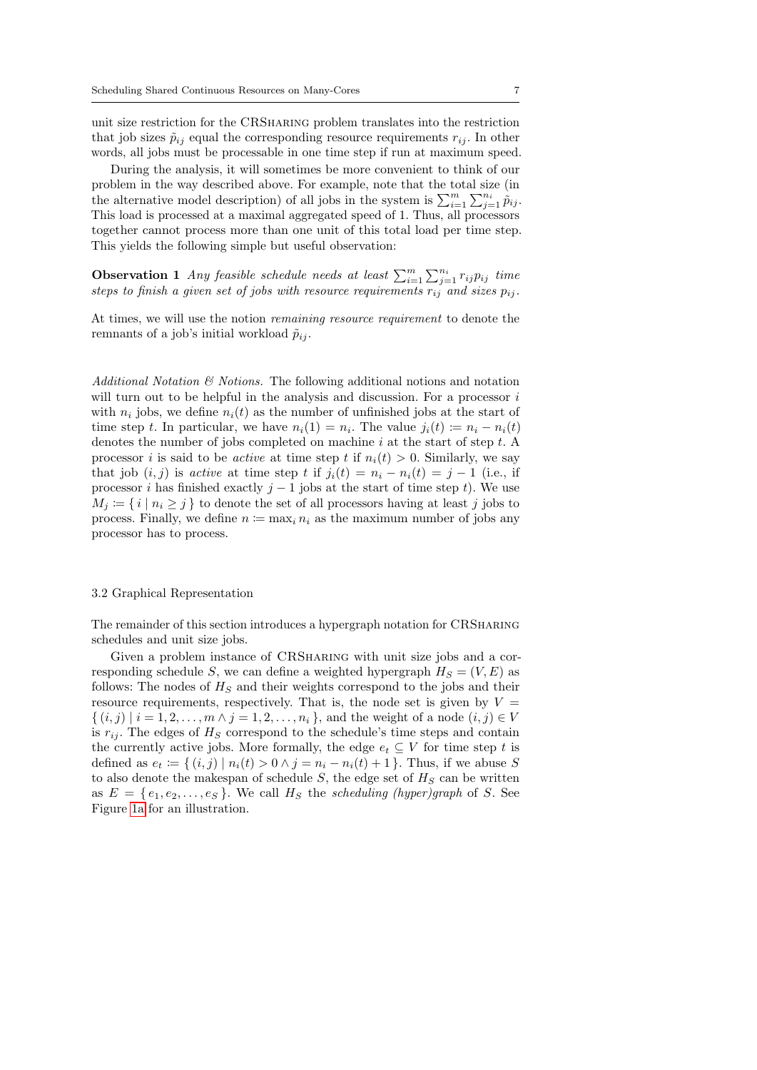unit size restriction for the CRSharing problem translates into the restriction that job sizes  $\tilde{p}_{ij}$  equal the corresponding resource requirements  $r_{ij}$ . In other words, all jobs must be processable in one time step if run at maximum speed.

During the analysis, it will sometimes be more convenient to think of our problem in the way described above. For example, note that the total size (in the alternative model description) of all jobs in the system is  $\sum_{i=1}^{m} \sum_{j=1}^{n_i} \tilde{p}_{ij}$ . This load is processed at a maximal aggregated speed of 1. Thus, all processors together cannot process more than one unit of this total load per time step. This yields the following simple but useful observation:

<span id="page-6-0"></span>**Observation 1** Any feasible schedule needs at least  $\sum_{i=1}^{m} \sum_{j=1}^{n_i} r_{ij} p_{ij}$  time steps to finish a given set of jobs with resource requirements  $\overline{r_{ij}}$  and sizes  $p_{ij}$ .

At times, we will use the notion remaining resource requirement to denote the remnants of a job's initial workload  $\tilde{p}_{ij}$ .

Additional Notation  $\mathcal{B}$  Notions. The following additional notions and notation will turn out to be helpful in the analysis and discussion. For a processor  $i$ with  $n_i$  jobs, we define  $n_i(t)$  as the number of unfinished jobs at the start of time step t. In particular, we have  $n_i(1) = n_i$ . The value  $j_i(t) \coloneqq n_i - n_i(t)$ denotes the number of jobs completed on machine  $i$  at the start of step  $t$ . A processor *i* is said to be *active* at time step *t* if  $n<sub>i</sub>(t) > 0$ . Similarly, we say that job  $(i, j)$  is active at time step t if  $j_i(t) = n_i - n_i(t) = j - 1$  (i.e., if processor i has finished exactly  $j - 1$  jobs at the start of time step t). We use  $M_j := \{ i \mid n_i \geq j \}$  to denote the set of all processors having at least j jobs to process. Finally, we define  $n := \max_i n_i$  as the maximum number of jobs any processor has to process.

#### 3.2 Graphical Representation

The remainder of this section introduces a hypergraph notation for CRSharing schedules and unit size jobs.

Given a problem instance of CRSharing with unit size jobs and a corresponding schedule S, we can define a weighted hypergraph  $H_S = (V, E)$  as follows: The nodes of  $H<sub>S</sub>$  and their weights correspond to the jobs and their resource requirements, respectively. That is, the node set is given by  $V =$  $\{(i, j) | i = 1, 2, \ldots, m \wedge j = 1, 2, \ldots, n_i\}$ , and the weight of a node  $(i, j) \in V$ is  $r_{ij}$ . The edges of  $H_S$  correspond to the schedule's time steps and contain the currently active jobs. More formally, the edge  $e_t \subseteq V$  for time step t is defined as  $e_t := \{ (i, j) | n_i(t) > 0 \land j = n_i - n_i(t) + 1 \}.$  Thus, if we abuse S to also denote the makespan of schedule  $S$ , the edge set of  $H_S$  can be written as  $E = \{e_1, e_2, \ldots, e_S\}$ . We call  $H_S$  the scheduling (hyper)graph of S. See Figure [1a](#page-7-0) for an illustration.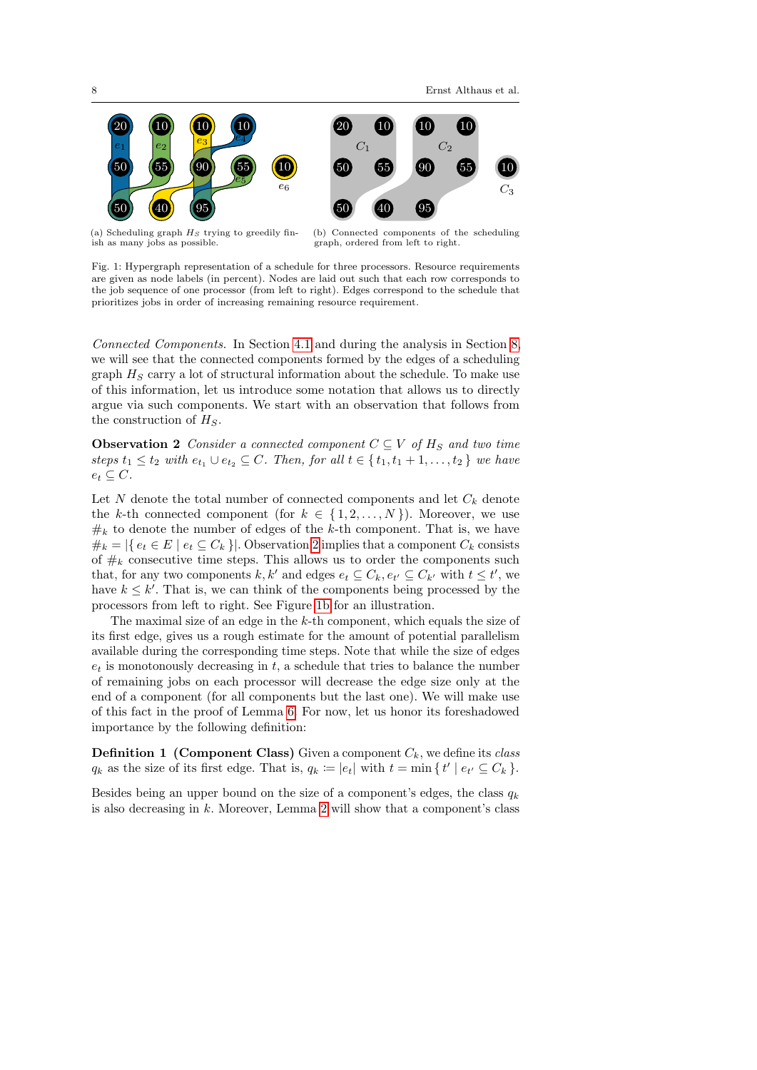<span id="page-7-0"></span>

(a) Scheduling graph  $H_S$  trying to greedily finish as many jobs as possible.

(b) Connected components of the scheduling graph, ordered from left to right.

Fig. 1: Hypergraph representation of a schedule for three processors. Resource requirements are given as node labels (in percent). Nodes are laid out such that each row corresponds to the job sequence of one processor (from left to right). Edges correspond to the schedule that prioritizes jobs in order of increasing remaining resource requirement.

Connected Components. In Section [4.1](#page-8-1) and during the analysis in Section [8,](#page-20-0) we will see that the connected components formed by the edges of a scheduling graph  $H<sub>S</sub>$  carry a lot of structural information about the schedule. To make use of this information, let us introduce some notation that allows us to directly argue via such components. We start with an observation that follows from the construction of  $H<sub>S</sub>$ .

<span id="page-7-1"></span>**Observation 2** Consider a connected component  $C \subseteq V$  of  $H_S$  and two time steps  $t_1 \leq t_2$  with  $e_{t_1} \cup e_{t_2} \subseteq C$ . Then, for all  $t \in \{t_1, t_1 + 1, \ldots, t_2\}$  we have  $e_t \subseteq C$ .

Let  $N$  denote the total number of connected components and let  $C_k$  denote the k-th connected component (for  $k \in \{1, 2, ..., N\}$ ). Moreover, we use  $#_k$  to denote the number of edges of the k-th component. That is, we have  $#_k = |\{e_t \in E \mid e_t \subseteq C_k\}|.$  Observation [2](#page-7-1) implies that a component  $C_k$  consists of  $\#_k$  consecutive time steps. This allows us to order the components such that, for any two components  $k, k'$  and edges  $e_t \subseteq C_k, e_{t'} \subseteq C_{k'}$  with  $t \leq t'$ , we have  $k \leq k'$ . That is, we can think of the components being processed by the processors from left to right. See Figure [1b](#page-7-0) for an illustration.

The maximal size of an edge in the  $k$ -th component, which equals the size of its first edge, gives us a rough estimate for the amount of potential parallelism available during the corresponding time steps. Note that while the size of edges  $e_t$  is monotonously decreasing in t, a schedule that tries to balance the number of remaining jobs on each processor will decrease the edge size only at the end of a component (for all components but the last one). We will make use of this fact in the proof of Lemma [6.](#page-21-0) For now, let us honor its foreshadowed importance by the following definition:

**Definition 1 (Component Class)** Given a component  $C_k$ , we define its class  $q_k$  as the size of its first edge. That is,  $q_k := |e_t|$  with  $t = \min \{ t' \mid e_{t'} \subseteq C_k \}$ .

Besides being an upper bound on the size of a component's edges, the class  $q_k$ is also decreasing in k. Moreover, Lemma [2](#page-11-0) will show that a component's class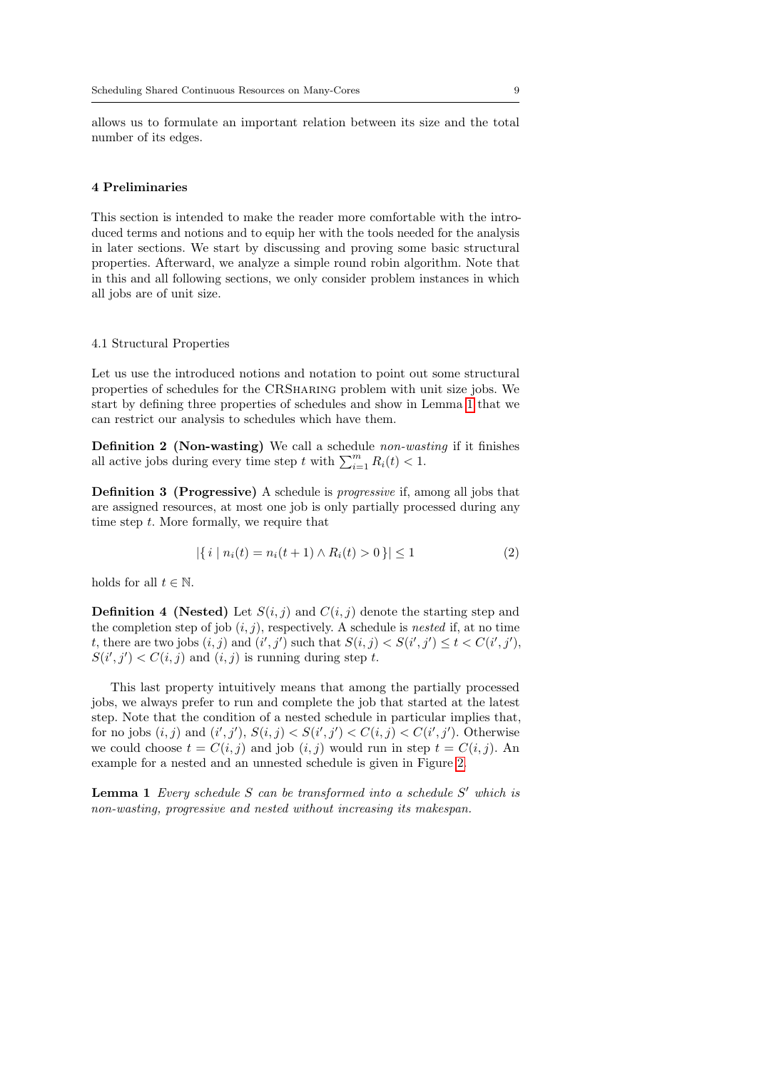allows us to formulate an important relation between its size and the total number of its edges.

## <span id="page-8-0"></span>4 Preliminaries

This section is intended to make the reader more comfortable with the introduced terms and notions and to equip her with the tools needed for the analysis in later sections. We start by discussing and proving some basic structural properties. Afterward, we analyze a simple round robin algorithm. Note that in this and all following sections, we only consider problem instances in which all jobs are of unit size.

# <span id="page-8-1"></span>4.1 Structural Properties

Let us use the introduced notions and notation to point out some structural properties of schedules for the CRSharing problem with unit size jobs. We start by defining three properties of schedules and show in Lemma [1](#page-8-2) that we can restrict our analysis to schedules which have them.

Definition 2 (Non-wasting) We call a schedule non-wasting if it finishes all active jobs during every time step t with  $\sum_{i=1}^{m} R_i(t) < 1$ .

Definition 3 (Progressive) A schedule is progressive if, among all jobs that are assigned resources, at most one job is only partially processed during any time step  $t$ . More formally, we require that

$$
|\{i \mid n_i(t) = n_i(t+1) \land R_i(t) > 0\}| \le 1
$$
\n(2)

holds for all  $t \in \mathbb{N}$ .

<span id="page-8-3"></span>**Definition 4 (Nested)** Let  $S(i, j)$  and  $C(i, j)$  denote the starting step and the completion step of job  $(i, j)$ , respectively. A schedule is nested if, at no time t, there are two jobs  $(i, j)$  and  $(i', j')$  such that  $S(i, j) < S(i', j') \leq t < C(i', j')$ ,  $S(i',j') < C(i,j)$  and  $(i,j)$  is running during step t.

This last property intuitively means that among the partially processed jobs, we always prefer to run and complete the job that started at the latest step. Note that the condition of a nested schedule in particular implies that, for no jobs  $(i, j)$  and  $(i', j')$ ,  $S(i, j) < S(i', j') < C(i, j) < C(i', j')$ . Otherwise we could choose  $t = C(i, j)$  and job  $(i, j)$  would run in step  $t = C(i, j)$ . An example for a nested and an unnested schedule is given in Figure [2.](#page-9-0)

<span id="page-8-2"></span>**Lemma 1** Every schedule  $S$  can be transformed into a schedule  $S'$  which is non-wasting, progressive and nested without increasing its makespan.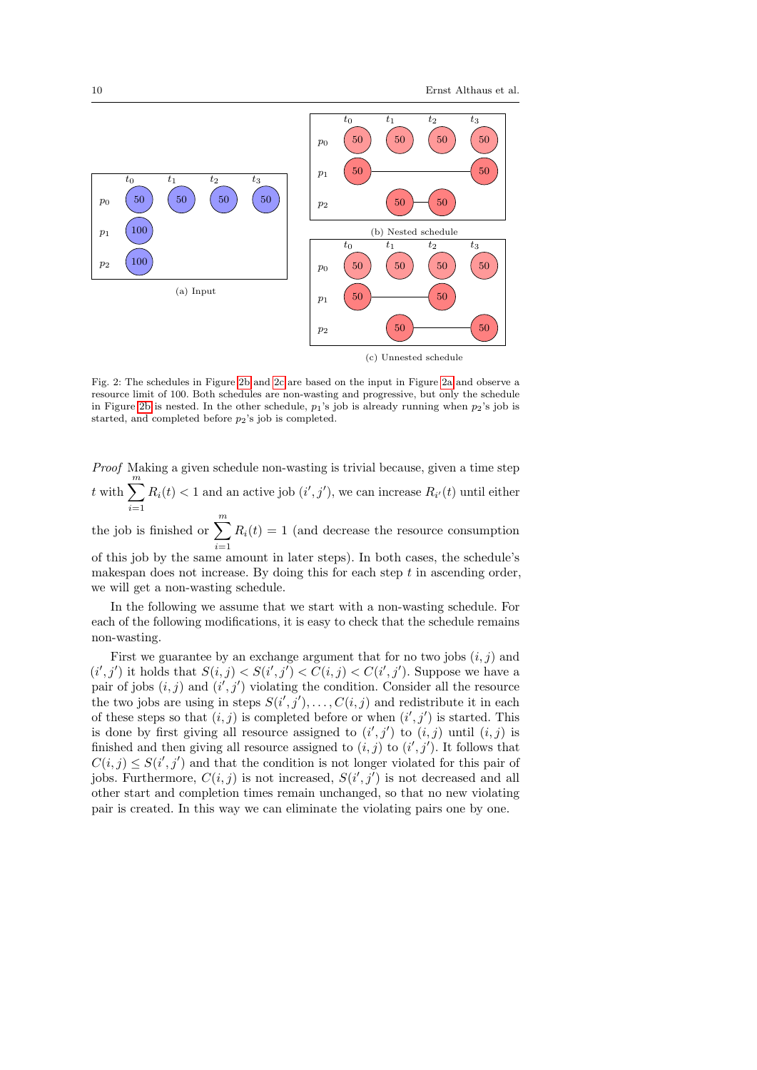<span id="page-9-0"></span>

Fig. 2: The schedules in Figure [2b](#page-9-0) and [2c](#page-9-0) are based on the input in Figure [2a](#page-9-0) and observe a resource limit of 100. Both schedules are non-wasting and progressive, but only the schedule in Figure [2b](#page-9-0) is nested. In the other schedule,  $p_1$ 's job is already running when  $p_2$ 's job is started, and completed before p2's job is completed.

Proof Making a given schedule non-wasting is trivial because, given a time step t with  $\sum_{n=1}^{\infty}$  $i=1$  $R_i(t) < 1$  and an active job  $(i', j')$ , we can increase  $R_{i'}(t)$  until either the job is finished or  $\sum_{m=1}^{m}$  $i=1$  $R_i(t) = 1$  (and decrease the resource consumption of this job by the same amount in later steps). In both cases, the schedule's makespan does not increase. By doing this for each step  $t$  in ascending order, we will get a non-wasting schedule.

In the following we assume that we start with a non-wasting schedule. For each of the following modifications, it is easy to check that the schedule remains non-wasting.

First we guarantee by an exchange argument that for no two jobs  $(i, j)$  and  $(i',j')$  it holds that  $S(i,j) < S(i',j') < C(i,j) < C(i',j')$ . Suppose we have a pair of jobs  $(i, j)$  and  $(i', j')$  violating the condition. Consider all the resource the two jobs are using in steps  $S(i',j'), \ldots, C(i,j)$  and redistribute it in each of these steps so that  $(i, j)$  is completed before or when  $(i', j')$  is started. This is done by first giving all resource assigned to  $(i',j')$  to  $(i,j)$  until  $(i,j)$  is finished and then giving all resource assigned to  $(i, j)$  to  $(i', j')$ . It follows that  $C(i, j) \leq S(i', j')$  and that the condition is not longer violated for this pair of jobs. Furthermore,  $C(i, j)$  is not increased,  $S(i', j')$  is not decreased and all other start and completion times remain unchanged, so that no new violating pair is created. In this way we can eliminate the violating pairs one by one.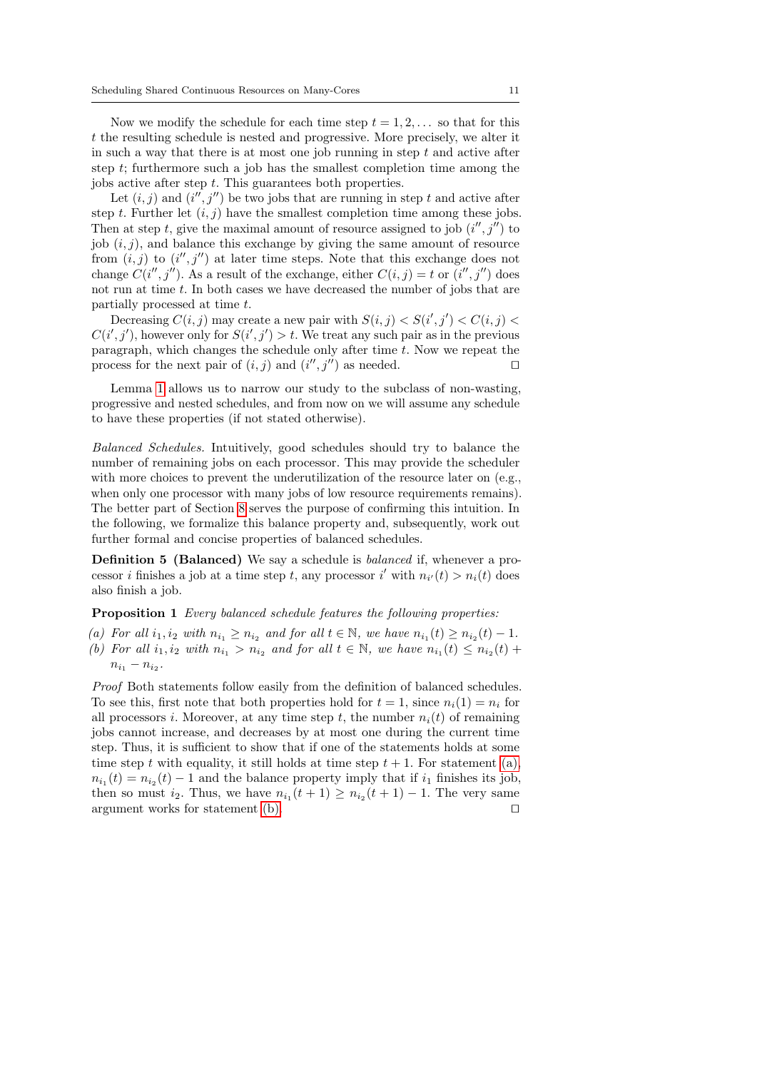Now we modify the schedule for each time step  $t = 1, 2, \ldots$  so that for this t the resulting schedule is nested and progressive. More precisely, we alter it in such a way that there is at most one job running in step  $t$  and active after step  $t$ ; furthermore such a job has the smallest completion time among the jobs active after step  $t$ . This guarantees both properties.

Let  $(i, j)$  and  $(i'', j'')$  be two jobs that are running in step t and active after step t. Further let  $(i, j)$  have the smallest completion time among these jobs. Then at step t, give the maximal amount of resource assigned to job  $(i'', j'')$  to job  $(i, j)$ , and balance this exchange by giving the same amount of resource from  $(i, j)$  to  $(i'', j'')$  at later time steps. Note that this exchange does not change  $C(i'', j'')$ . As a result of the exchange, either  $C(i, j) = t$  or  $(i'', j'')$  does not run at time t. In both cases we have decreased the number of jobs that are partially processed at time t.

Decreasing  $C(i, j)$  may create a new pair with  $S(i, j) < S(i', j') < C(i, j)$  $C(i', j')$ , however only for  $S(i', j') > t$ . We treat any such pair as in the previous paragraph, which changes the schedule only after time  $t$ . Now we repeat the process for the next pair of  $(i, j)$  and  $(i'', j'')$  as needed.

Lemma [1](#page-8-2) allows us to narrow our study to the subclass of non-wasting, progressive and nested schedules, and from now on we will assume any schedule to have these properties (if not stated otherwise).

Balanced Schedules. Intuitively, good schedules should try to balance the number of remaining jobs on each processor. This may provide the scheduler with more choices to prevent the underutilization of the resource later on (e.g., when only one processor with many jobs of low resource requirements remains). The better part of Section [8](#page-20-0) serves the purpose of confirming this intuition. In the following, we formalize this balance property and, subsequently, work out further formal and concise properties of balanced schedules.

Definition 5 (Balanced) We say a schedule is balanced if, whenever a processor *i* finishes a job at a time step t, any processor i' with  $n_{i'}(t) > n_i(t)$  does also finish a job.

# <span id="page-10-2"></span>Proposition 1 Every balanced schedule features the following properties:

- <span id="page-10-0"></span>(a) For all  $i_1, i_2$  with  $n_{i_1} \geq n_{i_2}$  and for all  $t \in \mathbb{N}$ , we have  $n_{i_1}(t) \geq n_{i_2}(t) - 1$ .
- <span id="page-10-1"></span>(b) For all  $i_1, i_2$  with  $n_{i_1} > n_{i_2}$  and for all  $t \in \mathbb{N}$ , we have  $n_{i_1}(t) \leq n_{i_2}(t)$  +  $n_{i_1} - n_{i_2}$ .

<span id="page-10-3"></span>Proof Both statements follow easily from the definition of balanced schedules. To see this, first note that both properties hold for  $t = 1$ , since  $n_i(1) = n_i$  for all processors i. Moreover, at any time step t, the number  $n_i(t)$  of remaining jobs cannot increase, and decreases by at most one during the current time step. Thus, it is sufficient to show that if one of the statements holds at some time step t with equality, it still holds at time step  $t + 1$ . For statement [\(a\),](#page-10-0)  $n_{i_1}(t) = n_{i_2}(t) - 1$  and the balance property imply that if  $i_1$  finishes its job, then so must  $i_2$ . Thus, we have  $n_{i_1}(t+1) \geq n_{i_2}(t+1) - 1$ . The very same argument works for statement [\(b\).](#page-10-1)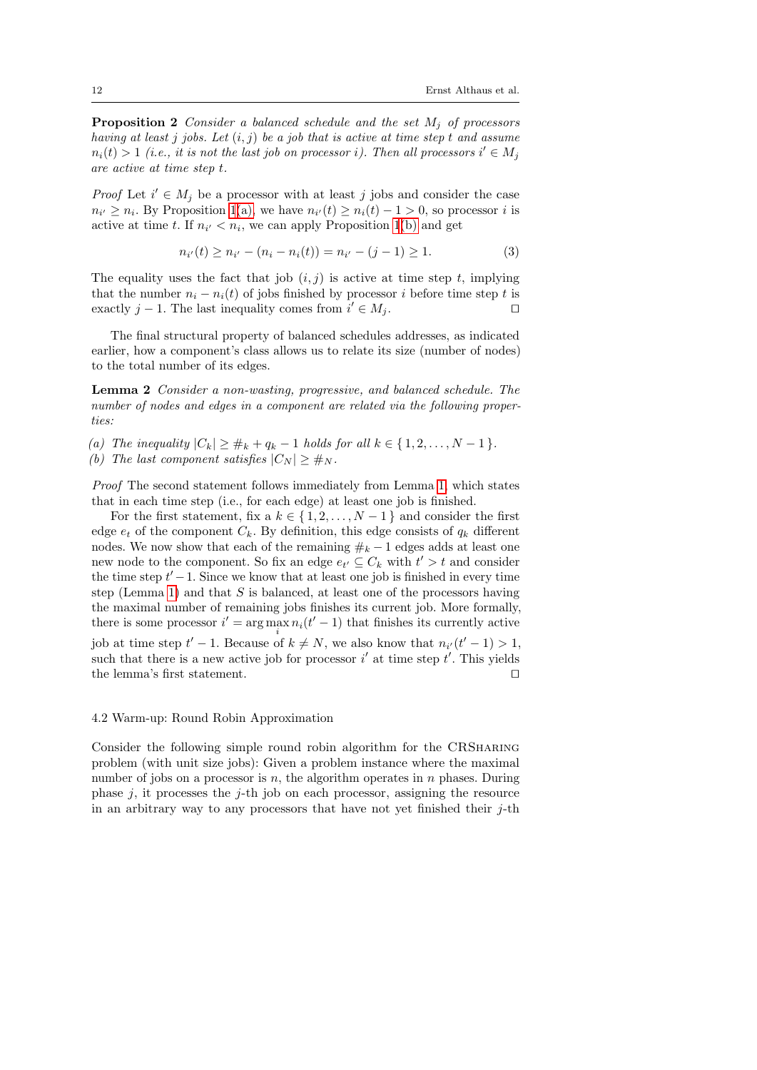**Proposition 2** Consider a balanced schedule and the set  $M_i$  of processors having at least j jobs. Let  $(i, j)$  be a job that is active at time step t and assume  $n_i(t) > 1$  (i.e., it is not the last job on processor i). Then all processors  $i' \in M_j$ are active at time step t.

*Proof* Let  $i' \in M_j$  be a processor with at least j jobs and consider the case  $n_{i'} \geq n_i$ . By Proposition [1](#page-10-2)[\(a\),](#page-10-0) we have  $n_{i'}(t) \geq n_i(t) - 1 > 0$ , so processor i is active at time t. If  $n_{i'} < n_i$ , we can apply Proposition [1](#page-10-2)[\(b\)](#page-10-1) and get

<span id="page-11-0"></span>
$$
n_{i'}(t) \ge n_{i'} - (n_i - n_i(t)) = n_{i'} - (j - 1) \ge 1.
$$
\n(3)

The equality uses the fact that job  $(i, j)$  is active at time step t, implying that the number  $n_i - n_i(t)$  of jobs finished by processor i before time step t is exactly  $j - 1$ . The last inequality comes from  $i' \in M_j$ .

The final structural property of balanced schedules addresses, as indicated earlier, how a component's class allows us to relate its size (number of nodes) to the total number of its edges.

Lemma 2 Consider a non-wasting, progressive, and balanced schedule. The number of nodes and edges in a component are related via the following properties:

(a) The inequality  $|C_k| \geq \#_k + q_k - 1$  holds for all  $k \in \{1, 2, ..., N - 1\}$ . (b) The last component satisfies  $|C_N| \geq \#_N$ .

Proof The second statement follows immediately from Lemma [1,](#page-8-2) which states that in each time step (i.e., for each edge) at least one job is finished.

For the first statement, fix a  $k \in \{1, 2, ..., N-1\}$  and consider the first edge  $e_t$  of the component  $C_k$ . By definition, this edge consists of  $q_k$  different nodes. We now show that each of the remaining  $\#_k - 1$  edges adds at least one new node to the component. So fix an edge  $e_{t'} \subseteq C_k$  with  $t' > t$  and consider the time step  $t' - 1$ . Since we know that at least one job is finished in every time step (Lemma [1\)](#page-8-2) and that  $S$  is balanced, at least one of the processors having the maximal number of remaining jobs finishes its current job. More formally, there is some processor  $i' = \arg \max n_i(t'-1)$  that finishes its currently active job at time step  $t' - 1$ . Because of  $k \neq N$ , we also know that  $n_{i'}(t'-1) > 1$ , such that there is a new active job for processor  $i'$  at time step  $t'$ . This yields the lemma's first statement.  $\hfill\Box$ 

## 4.2 Warm-up: Round Robin Approximation

Consider the following simple round robin algorithm for the CRSharing problem (with unit size jobs): Given a problem instance where the maximal number of jobs on a processor is  $n$ , the algorithm operates in  $n$  phases. During phase  $j$ , it processes the  $j$ -th job on each processor, assigning the resource in an arbitrary way to any processors that have not yet finished their  $j$ -th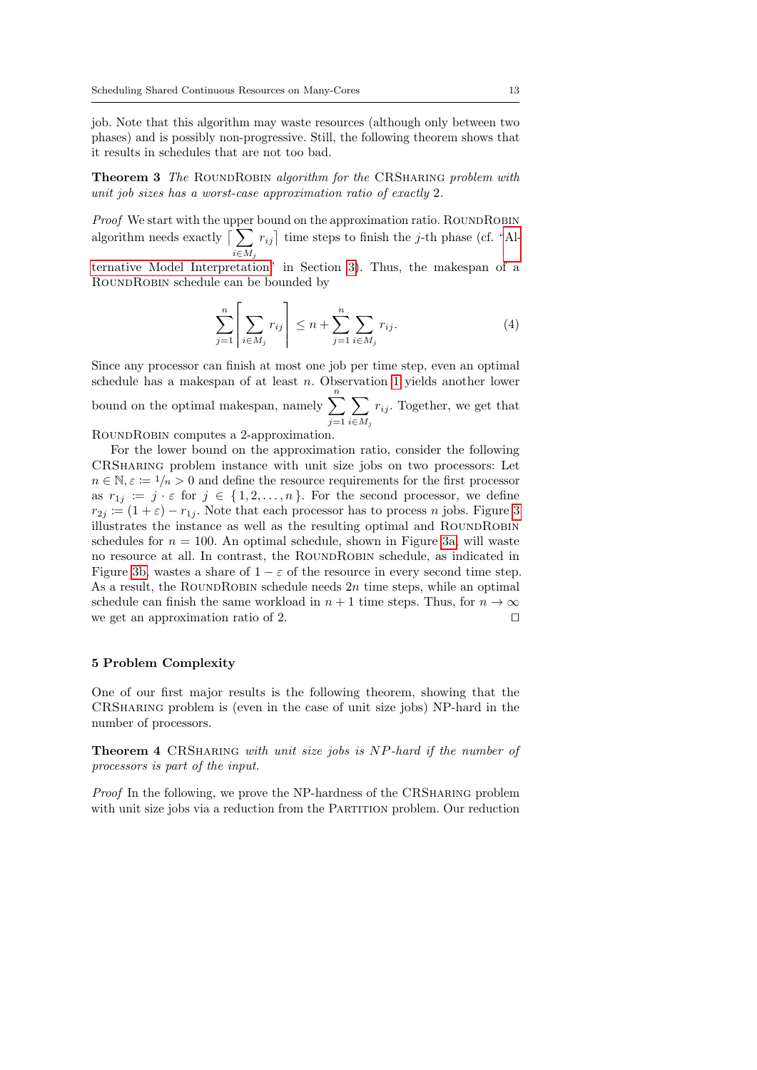job. Note that this algorithm may waste resources (although only between two phases) and is possibly non-progressive. Still, the following theorem shows that it results in schedules that are not too bad.

**Theorem 3** The ROUNDROBIN algorithm for the CRSHARING problem with unit job sizes has a worst-case approximation ratio of exactly 2.

 $Proof$  We start with the upper bound on the approximation ratio. ROUNDROBIN algorithm needs exactly  $\lceil \sum \rceil$  $i \in M_j$  $r_{ij}$  time steps to finish the j-th phase (cf. ["Al](#page-5-1)[ternative Model Interpretation"](#page-5-1) in Section [3\)](#page-4-0). Thus, the makespan of a ROUNDROBIN schedule can be bounded by

$$
\sum_{j=1}^{n} \left[ \sum_{i \in M_j} r_{ij} \right] \le n + \sum_{j=1}^{n} \sum_{i \in M_j} r_{ij}.
$$
\n(4)

Since any processor can finish at most one job per time step, even an optimal schedule has a makespan of at least n. Observation [1](#page-6-0) yields another lower bound on the optimal makespan, namely  $\sum_{n=1}^n$  $\sum$  $r_{ij}$ . Together, we get that

 $j=1$  $i \in M_j$ 

ROUNDROBIN computes a 2-approximation.

For the lower bound on the approximation ratio, consider the following CRSharing problem instance with unit size jobs on two processors: Let  $n \in \mathbb{N}, \varepsilon := 1/n > 0$  and define the resource requirements for the first processor as  $r_{1j} := j \cdot \varepsilon$  for  $j \in \{1, 2, ..., n\}$ . For the second processor, we define  $r_{2j} \coloneqq (1 + \varepsilon) - r_{1j}$ . Note that each processor has to process *n* jobs. Figure [3](#page-13-0) illustrates the instance as well as the resulting optimal and ROUNDROBIN schedules for  $n = 100$ . An optimal schedule, shown in Figure [3a,](#page-13-0) will waste no resource at all. In contrast, the ROUNDROBIN schedule, as indicated in Figure [3b,](#page-13-0) wastes a share of  $1 - \varepsilon$  of the resource in every second time step. As a result, the ROUNDROBIN schedule needs  $2n$  time steps, while an optimal schedule can finish the same workload in  $n + 1$  time steps. Thus, for  $n \to \infty$ we get an approximation ratio of 2.  $\Box$ 

# <span id="page-12-0"></span>5 Problem Complexity

One of our first major results is the following theorem, showing that the CRSharing problem is (even in the case of unit size jobs) NP-hard in the number of processors.

<span id="page-12-1"></span>Theorem 4 CRSHARING with unit size jobs is NP-hard if the number of processors is part of the input.

Proof In the following, we prove the NP-hardness of the CRSHARING problem with unit size jobs via a reduction from the PARTITION problem. Our reduction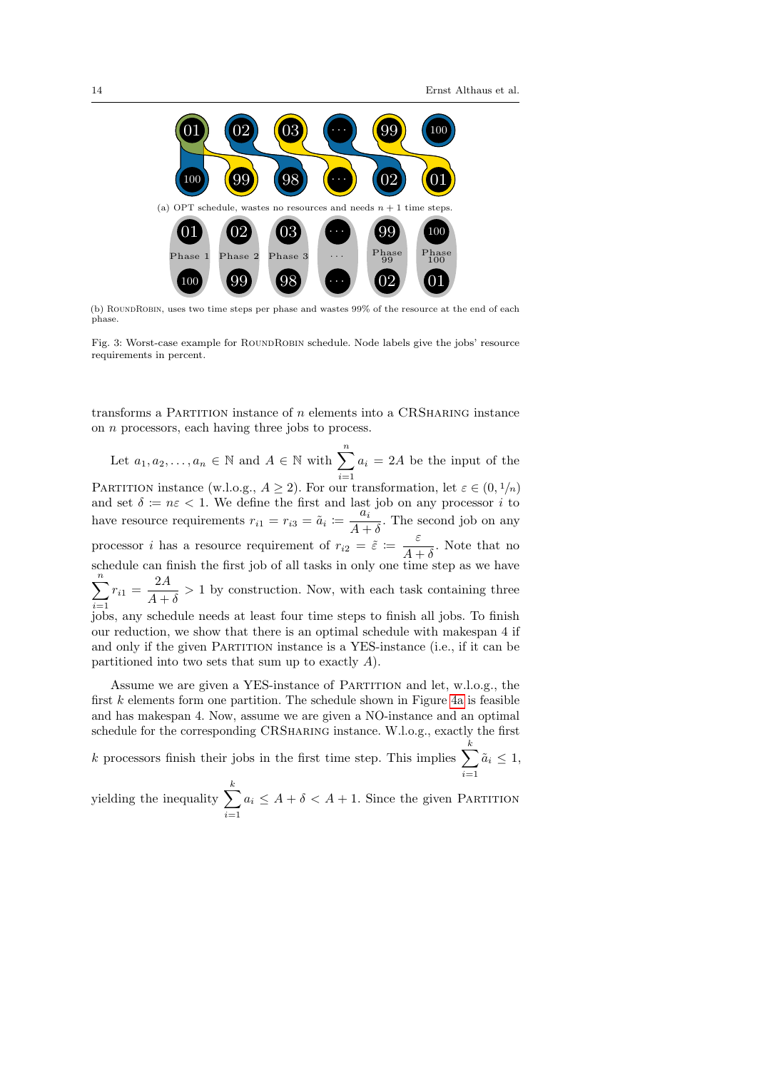<span id="page-13-0"></span>

(b) ROUNDROBIN, uses two time steps per phase and wastes 99% of the resource at the end of each phase.

Fig. 3: Worst-case example for ROUNDROBIN schedule. Node labels give the jobs' resource requirements in percent.

transforms a PARTITION instance of  $n$  elements into a CRSHARING instance on n processors, each having three jobs to process.

Let  $a_1, a_2, \ldots, a_n \in \mathbb{N}$  and  $A \in \mathbb{N}$  with  $\sum_{n=1}^n A_n$  $i=1$  $a_i = 2A$  be the input of the PARTITION instance (w.l.o.g.,  $A \ge 2$ ). For our transformation, let  $\varepsilon \in (0, 1/n)$ and set  $\delta := n\varepsilon < 1$ . We define the first and last job on any processor i to have resource requirements  $r_{i1} = r_{i3} = \tilde{a}_i \coloneqq \frac{a_i}{4}$  $\frac{a_i}{A+\delta}$ . The second job on any processor *i* has a resource requirement of  $r_{i2} = \tilde{\varepsilon} := \frac{\varepsilon}{4}$  $\frac{c}{A+\delta}$ . Note that no schedule can finish the first job of all tasks in only one time step as we have  $\sum_{n=1}^{\infty}$  $i=1$  $r_{i1} = \frac{2A}{4}$  $\frac{24}{A + \delta} > 1$  by construction. Now, with each task containing three jobs, any schedule needs at least four time steps to finish all jobs. To finish our reduction, we show that there is an optimal schedule with makespan 4 if and only if the given PARTITION instance is a YES-instance (i.e., if it can be partitioned into two sets that sum up to exactly  $A$ ).

Assume we are given a YES-instance of Partition and let, w.l.o.g., the first  $k$  elements form one partition. The schedule shown in Figure [4a](#page-14-0) is feasible and has makespan 4. Now, assume we are given a NO-instance and an optimal schedule for the corresponding CRSharing instance. W.l.o.g., exactly the first

k processors finish their jobs in the first time step. This implies  $\sum_{k=1}^{k}$  $i=1$  $\tilde{a}_i \leq 1$ ,

yielding the inequality  $\sum_{n=1}^k$  $i=1$  $a_i \leq A + \delta < A + 1$ . Since the given PARTITION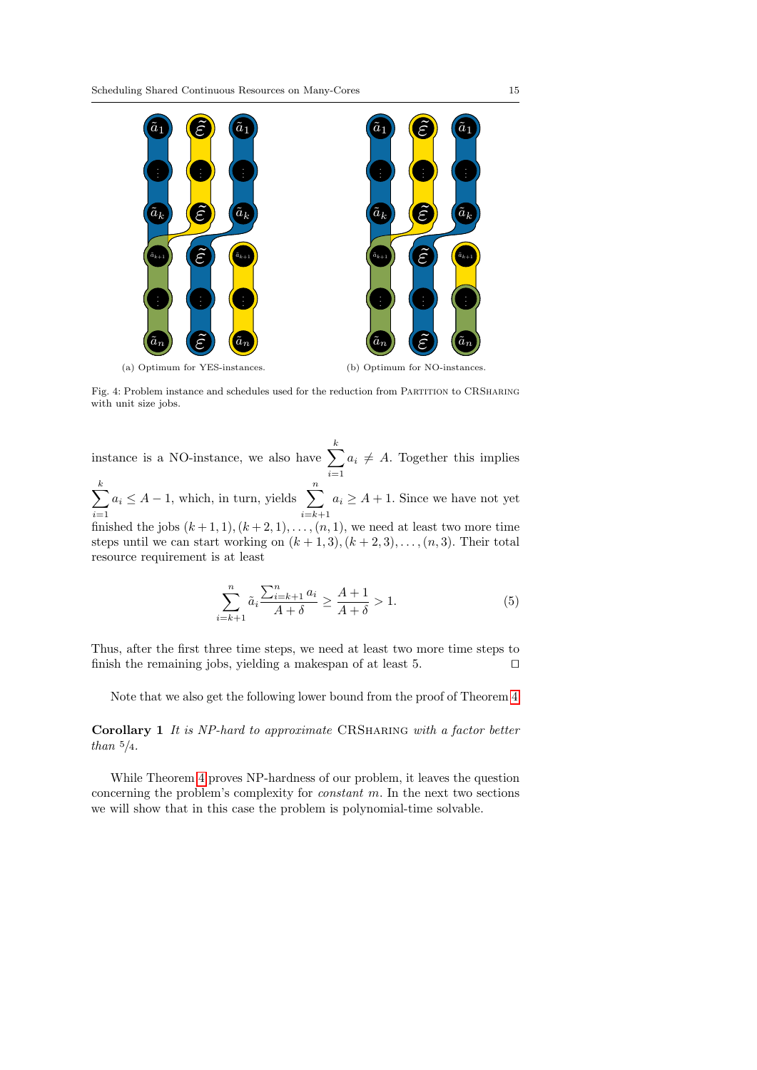<span id="page-14-0"></span>

Fig. 4: Problem instance and schedules used for the reduction from PARTITION to CRSHARING with unit size jobs.

instance is a NO-instance, we also have  $\sum_{k=1}^{k}$  $i=1$  $a_i \neq A$ . Together this implies  $\sum_{k=1}^{k}$  $i=1$  $a_i \leq A - 1$ , which, in turn, yields  $\sum_{n=1}^{n}$  $i=k+1$  $a_i \geq A + 1$ . Since we have not yet finished the jobs  $(k + 1, 1), (k + 2, 1), \ldots, (n, 1)$ , we need at least two more time steps until we can start working on  $(k + 1, 3)$ ,  $(k + 2, 3)$ , ...,  $(n, 3)$ . Their total resource requirement is at least

$$
\sum_{i=k+1}^{n} \tilde{a}_i \frac{\sum_{i=k+1}^{n} a_i}{A+\delta} \ge \frac{A+1}{A+\delta} > 1.
$$
 (5)

Thus, after the first three time steps, we need at least two more time steps to finish the remaining jobs, yielding a makespan of at least 5.  $\Box$ 

Note that we also get the following lower bound from the proof of Theorem [4:](#page-12-1)

Corollary 1 It is NP-hard to approximate CRSharing with a factor better than  $5/4$ .

While Theorem [4](#page-12-1) proves NP-hardness of our problem, it leaves the question concerning the problem's complexity for *constant m*. In the next two sections we will show that in this case the problem is polynomial-time solvable.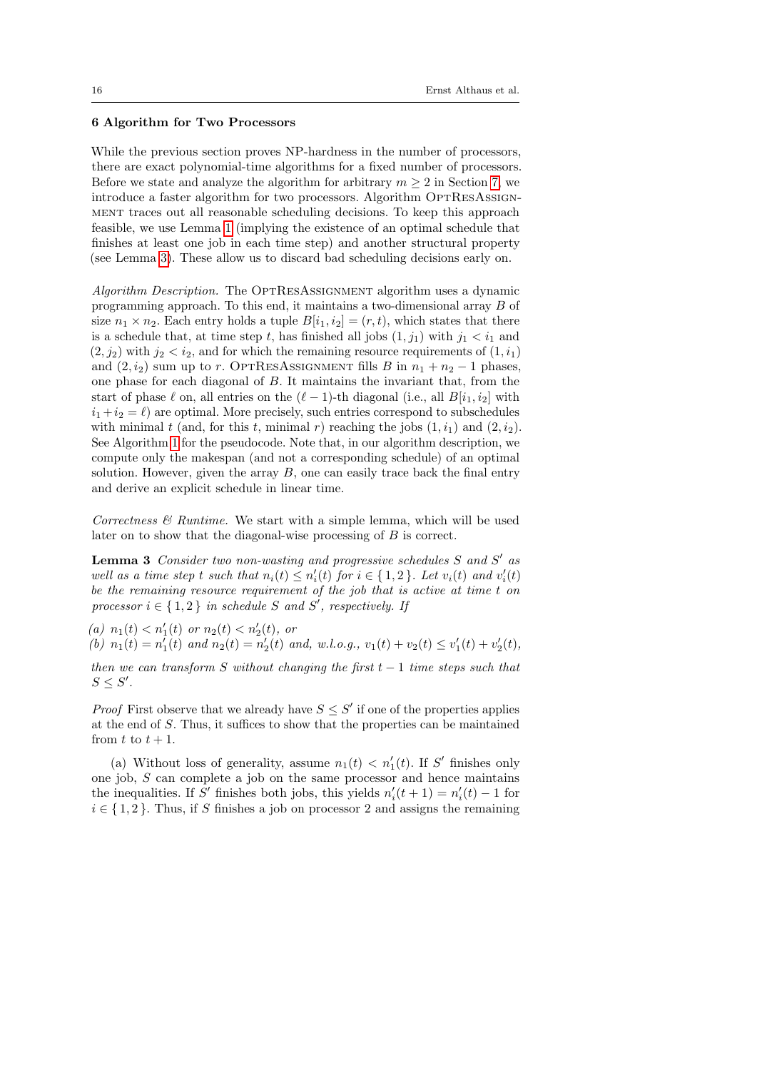# 6 Algorithm for Two Processors

While the previous section proves NP-hardness in the number of processors, there are exact polynomial-time algorithms for a fixed number of processors. Before we state and analyze the algorithm for arbitrary  $m \geq 2$  in Section [7,](#page-17-0) we introduce a faster algorithm for two processors. Algorithm OPTRESASSIGNment traces out all reasonable scheduling decisions. To keep this approach feasible, we use Lemma [1](#page-8-2) (implying the existence of an optimal schedule that finishes at least one job in each time step) and another structural property (see Lemma [3\)](#page-15-0). These allow us to discard bad scheduling decisions early on.

Algorithm Description. The OPTRESASSIGNMENT algorithm uses a dynamic programming approach. To this end, it maintains a two-dimensional array B of size  $n_1 \times n_2$ . Each entry holds a tuple  $B[i_1, i_2] = (r, t)$ , which states that there is a schedule that, at time step t, has finished all jobs  $(1, j_1)$  with  $j_1 < i_1$  and  $(2, j_2)$  with  $j_2 < i_2$ , and for which the remaining resource requirements of  $(1, i_1)$ and  $(2, i_2)$  sum up to r. OPTRESASSIGNMENT fills B in  $n_1 + n_2 - 1$  phases, one phase for each diagonal of B. It maintains the invariant that, from the start of phase  $\ell$  on, all entries on the  $(\ell - 1)$ -th diagonal (i.e., all  $B[i_1, i_2]$  with  $i_1 + i_2 = \ell$  are optimal. More precisely, such entries correspond to subschedules with minimal t (and, for this t, minimal r) reaching the jobs  $(1, i_1)$  and  $(2, i_2)$ . See Algorithm [1](#page-16-0) for the pseudocode. Note that, in our algorithm description, we compute only the makespan (and not a corresponding schedule) of an optimal solution. However, given the array  $B$ , one can easily trace back the final entry and derive an explicit schedule in linear time.

<span id="page-15-0"></span>Correctness  $\mathcal C$  Runtime. We start with a simple lemma, which will be used later on to show that the diagonal-wise processing of B is correct.

**Lemma 3** Consider two non-wasting and progressive schedules  $S$  and  $S'$  as well as a time step t such that  $n_i(t) \leq n'_i(t)$  for  $i \in \{1,2\}$ . Let  $v_i(t)$  and  $v'_i(t)$ be the remaining resource requirement of the job that is active at time t on processor  $i \in \{1,2\}$  in schedule S and S', respectively. If

<span id="page-15-1"></span>(a)  $n_1(t) < n'_1(t)$  or  $n_2(t) < n'_2(t)$ , or

<span id="page-15-2"></span>(b)  $n_1(t) = n'_1(t)$  and  $n_2(t) = n'_2(t)$  and, w.l.o.g.,  $v_1(t) + v_2(t) \le v'_1(t) + v'_2(t)$ ,

then we can transform S without changing the first  $t - 1$  time steps such that  $S \leq S'$ .

*Proof* First observe that we already have  $S \leq S'$  if one of the properties applies at the end of S. Thus, it suffices to show that the properties can be maintained from t to  $t + 1$ .

(a) Without loss of generality, assume  $n_1(t) < n'_1(t)$ . If S' finishes only one job, S can complete a job on the same processor and hence maintains the inequalities. If S' finishes both jobs, this yields  $n'_i(t+1) = n'_i(t) - 1$  for  $i \in \{1,2\}$ . Thus, if S finishes a job on processor 2 and assigns the remaining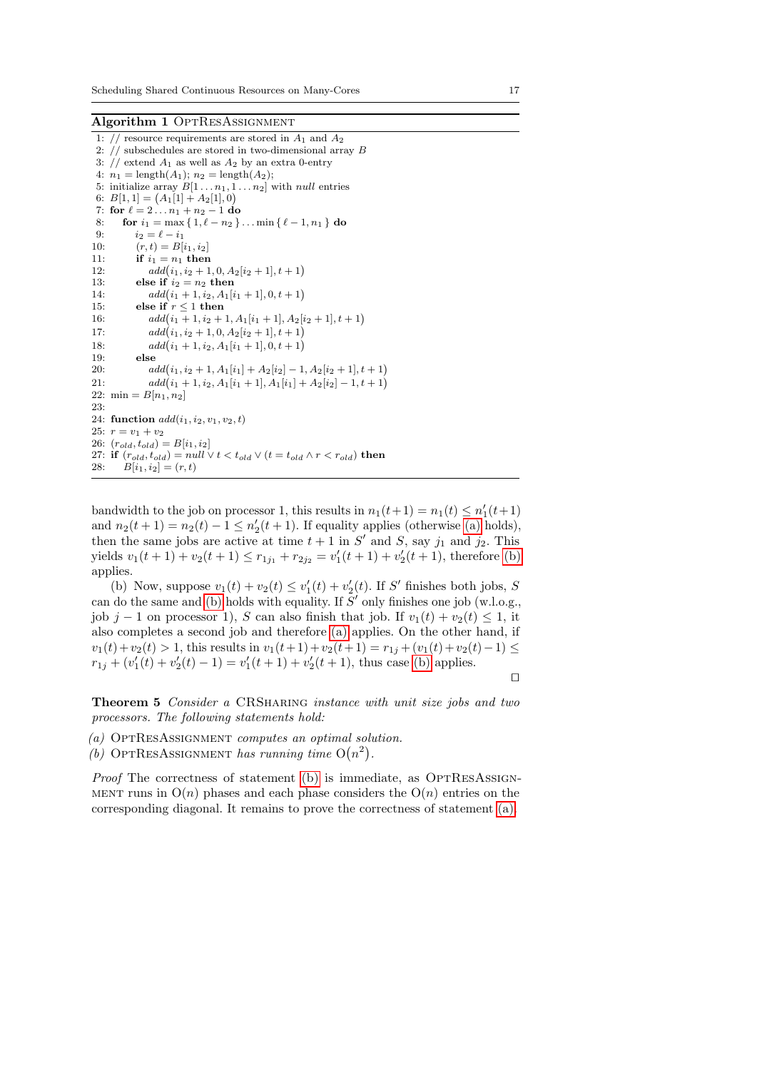#### <span id="page-16-0"></span>Algorithm 1 OPTRESASSIGNMENT

<span id="page-16-3"></span>1: // resource requirements are stored in  $A_1$  and  $A_2$ 2:  $\frac{1}{2}$  // subschedules are stored in two-dimensional array B 3:  $//$  extend  $A_1$  as well as  $A_2$  by an extra 0-entry 4:  $n_1 = \text{length}(A_1); n_2 = \text{length}(A_2);$ 5: initialize array  $B[1 \ldots n_1, 1 \ldots n_2]$  with *null* entries 6:  $B[1,1] = (A_1[1] + A_2[1], 0)$ 7: for  $\ell = 2 ... n_1 + n_2 - 1$  do 8: **for**  $i_1 = \max\{1, \ell - n_2\} \dots \min\{\ell - 1, n_1\}$  do<br>9:  $i_2 = \ell - i_1$ 9:  $i_2 = \ell - i_1$ <br>10:  $(r, t) = B$  $(r, t) = B[i_1, i_2]$ 11: **if**  $i_1 = n_1$  then<br>12:  $add(i_1, i_2 + 1)$ 12:  $add(i_1, i_2 + 1, 0, A_2[i_2 + 1], t + 1)$ 13: else if  $i_2 = n_2$  then 14:  $add(i_1 + 1, i_2, A_1[i_1 + 1], 0, t + 1)$ 15: else if  $r < 1$  then 16:  $add(i_1 + 1, i_2 + 1, A_1[i_1 + 1], A_2[i_2 + 1], t + 1)$ 17:  $add(i_1, i_2 + 1, 0, A_2[i_2 + 1], t + 1)$ 18:  $add(i_1 + 1, i_2, A_1[i_1 + 1], 0, t + 1)$ 19: else 20:  $add(i_1, i_2 + 1, A_1[i_1] + A_2[i_2] - 1, A_2[i_2 + 1], t + 1)$ 21:  $add(i_1 + 1, i_2, A_1[i_1 + 1], A_1[i_1] + A_2[i_2] - 1, t + 1)$ 22:  $\min = B[n_1, n_2]$ 23: 24: function  $add(i_1, i_2, v_1, v_2, t)$ 25:  $r = v_1 + v_2$ 26:  $(r_{old}, t_{old}) = B[i_1, i_2]$ 27: if  $(r_{old}, t_{old}) = null \vee t < t_{old} \vee (t = t_{old} \wedge r < r_{old})$  then<br>28:  $B[i_1, i_2] = (r, t)$  $B[i_1, i_2] = (r, t)$ 

<span id="page-16-5"></span><span id="page-16-4"></span>bandwidth to the job on processor 1, this results in  $n_1(t+1) = n_1(t) \leq n'_1(t+1)$ and  $n_2(t+1) = n_2(t) - 1 \leq n'_2(t+1)$ . If equality applies (otherwise [\(a\)](#page-15-1) holds), then the same jobs are active at time  $t + 1$  in S' and S, say  $j_1$  and  $j_2$ . This yields  $v_1(t+1) + v_2(t+1) \le r_{1j_1} + r_{2j_2} = v'_1(t+1) + v'_2(t+1)$ , therefore [\(b\)](#page-15-2) applies.

(b) Now, suppose  $v_1(t) + v_2(t) \le v_1'(t) + v_2'(t)$ . If S' finishes both jobs, S can do the same and [\(b\)](#page-15-2) holds with equality. If  $S'$  only finishes one job (w.l.o.g., job j − 1 on processor 1), S can also finish that job. If  $v_1(t) + v_2(t) \le 1$ , it also completes a second job and therefore [\(a\)](#page-15-1) applies. On the other hand, if  $v_1(t) + v_2(t) > 1$ , this results in  $v_1(t+1) + v_2(t+1) = r_{1i} + (v_1(t) + v_2(t) - 1) \le$  $r_{1j} + (v_1'(t) + v_2'(t) - 1) = v_1'(t + 1) + v_2'(t + 1)$ , thus case [\(b\)](#page-15-2) applies.  $\Box$ 

Theorem 5 Consider a CRSHARING instance with unit size jobs and two processors. The following statements hold:

- <span id="page-16-2"></span> $(a)$  OPTRESASSIGNMENT computes an optimal solution.
- <span id="page-16-1"></span>(b) OPTRESASSIGNMENT has running time  $O(n^2)$ .

*Proof* The correctness of statement [\(b\)](#page-16-1) is immediate, as  $OPTRESASSIGN-$ MENT runs in  $O(n)$  phases and each phase considers the  $O(n)$  entries on the corresponding diagonal. It remains to prove the correctness of statement [\(a\).](#page-16-2)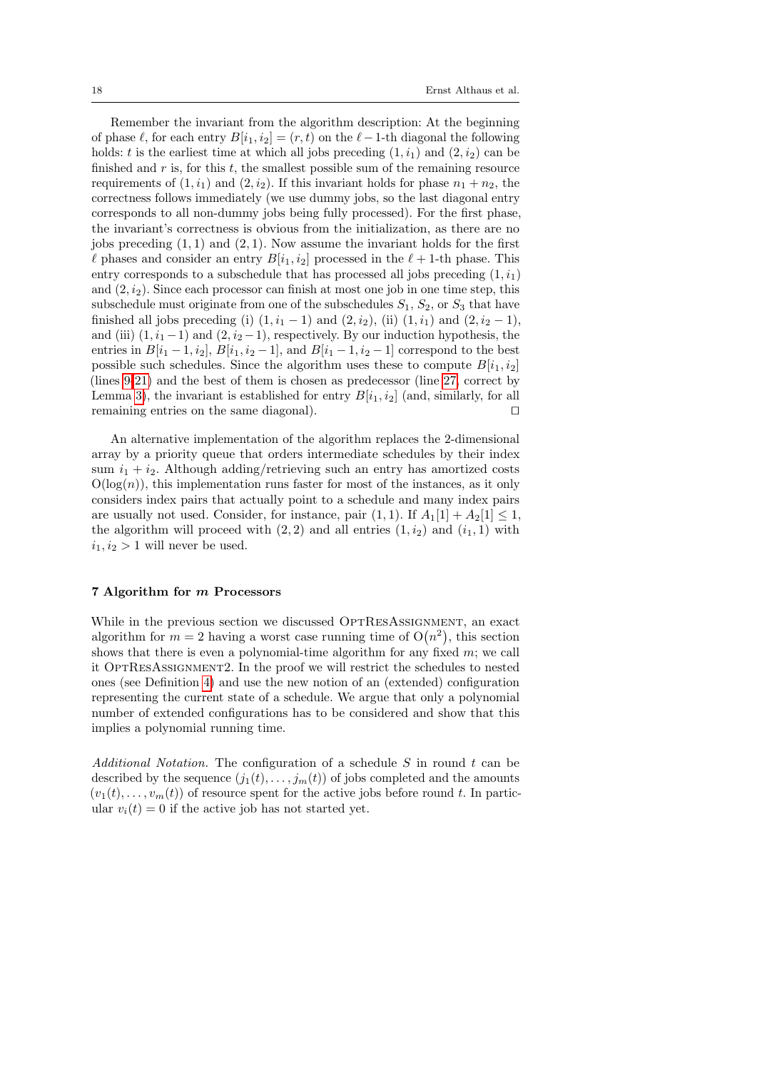Remember the invariant from the algorithm description: At the beginning of phase  $\ell$ , for each entry  $B[i_1, i_2] = (r, t)$  on the  $\ell-1$ -th diagonal the following holds: t is the earliest time at which all jobs preceding  $(1, i_1)$  and  $(2, i_2)$  can be finished and  $r$  is, for this  $t$ , the smallest possible sum of the remaining resource requirements of  $(1, i_1)$  and  $(2, i_2)$ . If this invariant holds for phase  $n_1 + n_2$ , the correctness follows immediately (we use dummy jobs, so the last diagonal entry corresponds to all non-dummy jobs being fully processed). For the first phase, the invariant's correctness is obvious from the initialization, as there are no jobs preceding  $(1, 1)$  and  $(2, 1)$ . Now assume the invariant holds for the first  $\ell$  phases and consider an entry  $B[i_1, i_2]$  processed in the  $\ell + 1$ -th phase. This entry corresponds to a subschedule that has processed all jobs preceding  $(1, i_1)$ and  $(2, i_2)$ . Since each processor can finish at most one job in one time step, this subschedule must originate from one of the subschedules  $S_1$ ,  $S_2$ , or  $S_3$  that have finished all jobs preceding (i)  $(1, i_1 - 1)$  and  $(2, i_2)$ , (ii)  $(1, i_1)$  and  $(2, i_2 - 1)$ , and (iii)  $(1, i_1 - 1)$  and  $(2, i_2 - 1)$ , respectively. By our induction hypothesis, the entries in  $B[i_1 - 1, i_2], B[i_1, i_2 - 1],$  and  $B[i_1 - 1, i_2 - 1]$  correspond to the best possible such schedules. Since the algorithm uses these to compute  $B[i_1, i_2]$ (lines [9-](#page-16-3)[21\)](#page-16-4) and the best of them is chosen as predecessor (line [27,](#page-16-5) correct by Lemma [3\)](#page-15-0), the invariant is established for entry  $B[i_1, i_2]$  (and, similarly, for all remaining entries on the same diagonal).  $\Box$ 

An alternative implementation of the algorithm replaces the 2-dimensional array by a priority queue that orders intermediate schedules by their index sum  $i_1 + i_2$ . Although adding/retrieving such an entry has amortized costs  $O(log(n))$ , this implementation runs faster for most of the instances, as it only considers index pairs that actually point to a schedule and many index pairs are usually not used. Consider, for instance, pair  $(1, 1)$ . If  $A_1[1] + A_2[1] \leq 1$ , the algorithm will proceed with  $(2, 2)$  and all entries  $(1, i_2)$  and  $(i_1, 1)$  with  $i_1, i_2 > 1$  will never be used.

#### <span id="page-17-0"></span>7 Algorithm for m Processors

While in the previous section we discussed OPTRESASSIGNMENT, an exact algorithm for  $m = 2$  having a worst case running time of  $O(n^2)$ , this section shows that there is even a polynomial-time algorithm for any fixed  $m$ ; we call it OPTRESASSIGNMENT2. In the proof we will restrict the schedules to nested ones (see Definition [4\)](#page-8-3) and use the new notion of an (extended) configuration representing the current state of a schedule. We argue that only a polynomial number of extended configurations has to be considered and show that this implies a polynomial running time.

Additional Notation. The configuration of a schedule S in round t can be described by the sequence  $(j_1(t), \ldots, j_m(t))$  of jobs completed and the amounts  $(v_1(t), \ldots, v_m(t))$  of resource spent for the active jobs before round t. In particular  $v_i(t) = 0$  if the active job has not started yet.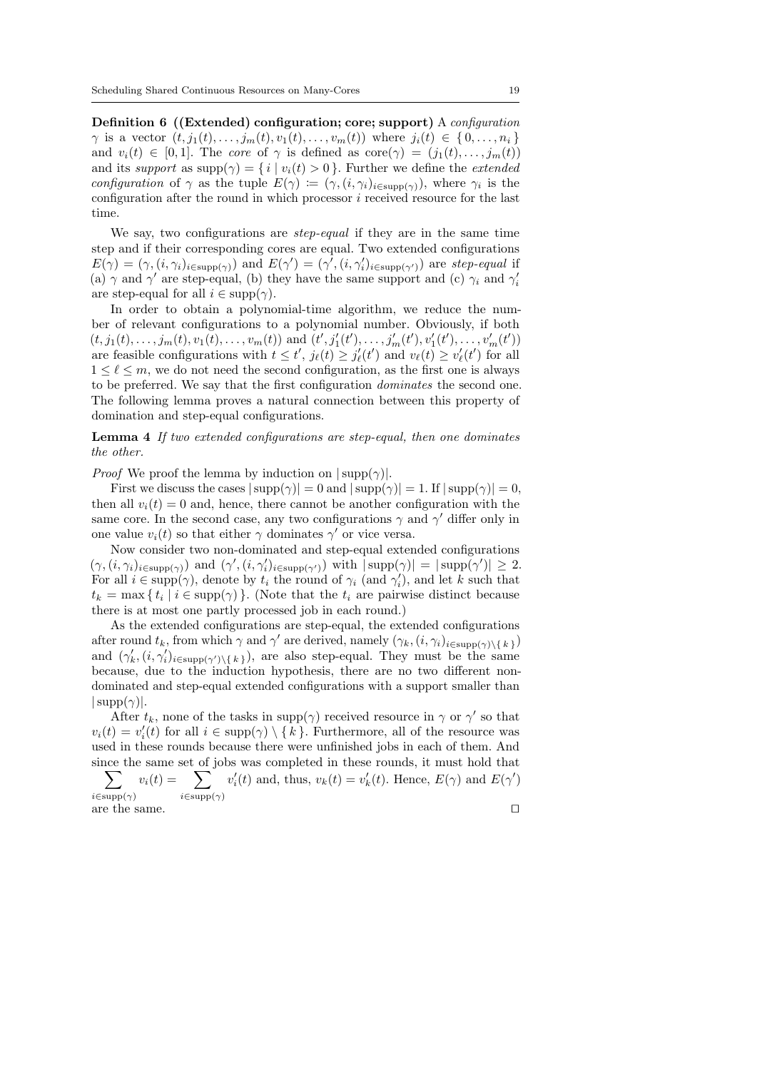Definition 6 ((Extended) configuration; core; support) A configuration  $\gamma$  is a vector  $(t, j_1(t), \ldots, j_m(t), v_1(t), \ldots, v_m(t))$  where  $j_i(t) \in \{0, \ldots, n_i\}$ and  $v_i(t) \in [0,1]$ . The core of  $\gamma$  is defined as  $\text{core}(\gamma) = (j_1(t), \ldots, j_m(t))$ and its support as  $supp(\gamma) = \{i \mid v_i(t) > 0\}$ . Further we define the *extended* configuration of  $\gamma$  as the tuple  $E(\gamma) := (\gamma, (i, \gamma_i)_{i \in \text{supp}(\gamma)})$ , where  $\gamma_i$  is the configuration after the round in which processor i received resource for the last time.

We say, two configurations are *step-equal* if they are in the same time step and if their corresponding cores are equal. Two extended configurations  $E(\gamma) = (\gamma, (i, \gamma_i)_{i \in \text{supp}(\gamma)})$  and  $E(\gamma') = (\gamma', (i, \gamma'_i)_{i \in \text{supp}(\gamma')})$  are step-equal if (a)  $\gamma$  and  $\gamma'$  are step-equal, (b) they have the same support and (c)  $\gamma_i$  and  $\gamma'_i$ are step-equal for all  $i \in \text{supp}(\gamma)$ .

In order to obtain a polynomial-time algorithm, we reduce the number of relevant configurations to a polynomial number. Obviously, if both  $(t, j_1(t), \ldots, j_m(t), v_1(t), \ldots, v_m(t))$  and  $(t', j'_1(t'), \ldots, j'_m(t'), v'_1(t'), \ldots, v'_m(t'))$ are feasible configurations with  $t \leq t'$ ,  $j_{\ell}(t) \geq j'_{\ell}(t')$  and  $v_{\ell}(t) \geq v'_{\ell}(t')$  for all  $1 \leq \ell \leq m$ , we do not need the second configuration, as the first one is always to be preferred. We say that the first configuration dominates the second one. The following lemma proves a natural connection between this property of domination and step-equal configurations.

<span id="page-18-0"></span>Lemma 4 If two extended configurations are step-equal, then one dominates the other.

*Proof* We proof the lemma by induction on  $|\text{supp}(\gamma)|$ .

First we discuss the cases  $|\text{supp}(\gamma)| = 0$  and  $|\text{supp}(\gamma)| = 1$ . If  $|\text{supp}(\gamma)| = 0$ , then all  $v_i(t) = 0$  and, hence, there cannot be another configuration with the same core. In the second case, any two configurations  $\gamma$  and  $\gamma'$  differ only in one value  $v_i(t)$  so that either  $\gamma$  dominates  $\gamma'$  or vice versa.

Now consider two non-dominated and step-equal extended configurations  $(\gamma, (i, \gamma_i)_{i \in \text{supp}(\gamma)})$  and  $(\gamma', (i, \gamma'_i)_{i \in \text{supp}(\gamma')})$  with  $|\text{supp}(\gamma)| = |\text{supp}(\gamma')| \geq 2$ . For all  $i \in \text{supp}(\gamma)$ , denote by  $t_i$  the round of  $\gamma_i$  (and  $\gamma'_i$ ), and let k such that  $t_k = \max\{t_i \mid i \in \text{supp}(\gamma)\}\.$  (Note that the  $t_i$  are pairwise distinct because there is at most one partly processed job in each round.)

As the extended configurations are step-equal, the extended configurations after round  $t_k$ , from which  $\gamma$  and  $\gamma'$  are derived, namely  $(\gamma_k, (i, \gamma_i)_{i \in \text{supp}(\gamma) \setminus \{k\}})$ and  $(\gamma'_k, (i, \gamma'_i)_{i \in \text{supp}(\gamma') \setminus \{k\}})$ , are also step-equal. They must be the same because, due to the induction hypothesis, there are no two different nondominated and step-equal extended configurations with a support smaller than  $|\text{supp}(\gamma)|.$ 

After  $t_k$ , none of the tasks in supp( $\gamma$ ) received resource in  $\gamma$  or  $\gamma'$  so that  $v_i(t) = v_i'(t)$  for all  $i \in \text{supp}(\gamma) \setminus \{k\}$ . Furthermore, all of the resource was used in these rounds because there were unfinished jobs in each of them. And since the same set of jobs was completed in these rounds, it must hold that

 $\sum$  $i \in \text{supp}(\gamma)$  $v_i(t) = \sum$  $i \in \text{supp}(\gamma)$  $v'_{i}(t)$  and, thus,  $v_{k}(t) = v'_{k}(t)$ . Hence,  $E(\gamma)$  and  $E(\gamma')$ are the same.  $\Box$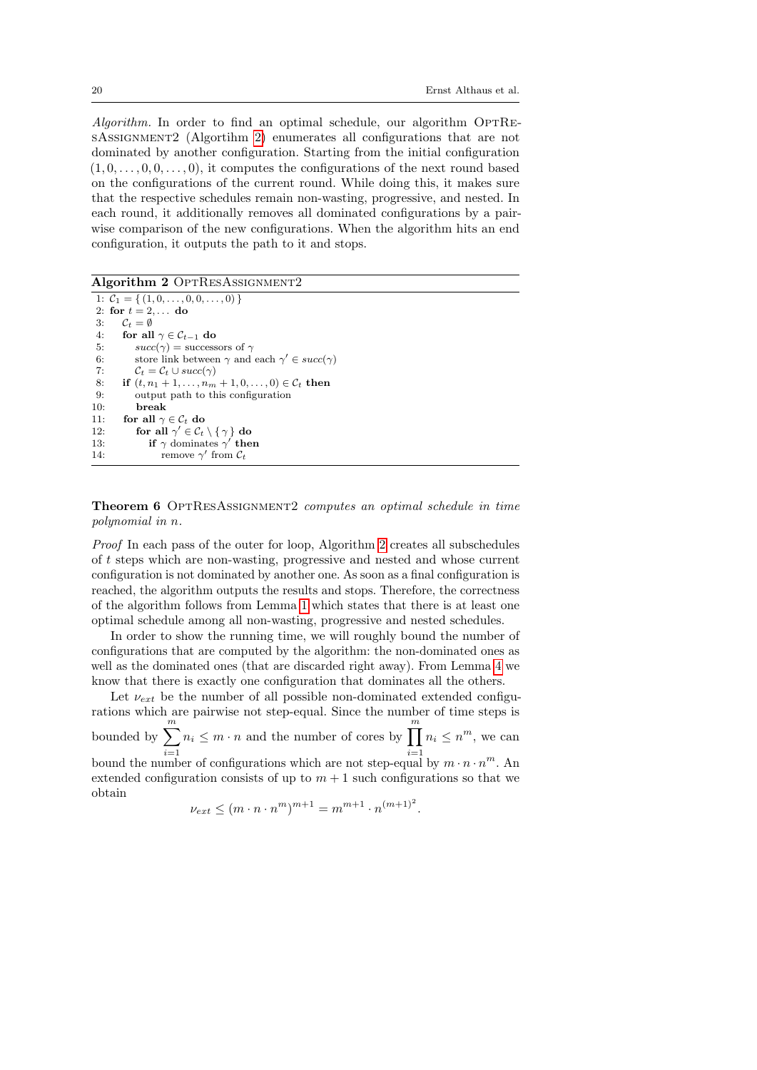$Algorithm.$  In order to find an optimal schedule, our algorithm OPTREsAssignment2 (Algortihm [2\)](#page-19-0) enumerates all configurations that are not dominated by another configuration. Starting from the initial configuration  $(1, 0, \ldots, 0, 0, \ldots, 0)$ , it computes the configurations of the next round based on the configurations of the current round. While doing this, it makes sure that the respective schedules remain non-wasting, progressive, and nested. In each round, it additionally removes all dominated configurations by a pairwise comparison of the new configurations. When the algorithm hits an end configuration, it outputs the path to it and stops.

<span id="page-19-0"></span>Algorithm 2 OPTRESASSIGNMENT2

|     | 1: $C_1 = \{(1,0,\ldots,0,0,\ldots,0)\}\$                       |
|-----|-----------------------------------------------------------------|
|     | 2: for $t = 2, $ do                                             |
| 3:  | $\mathcal{C}_t = \emptyset$                                     |
| 4:  | for all $\gamma \in C_{t-1}$ do                                 |
| 5:  | $succ(\gamma)$ = successors of $\gamma$                         |
| 6:  | store link between $\gamma$ and each $\gamma' \in succ(\gamma)$ |
| 7:  | $\mathcal{C}_t = \mathcal{C}_t \cup succ(\gamma)$               |
| 8:  | if $(t, n_1 + 1, \ldots, n_m + 1, 0, \ldots, 0) \in C_t$ then   |
| 9:  | output path to this configuration                               |
| 10: | break                                                           |
| 11: | for all $\gamma \in \mathcal{C}_t$ do                           |
| 12: | for all $\gamma' \in \mathcal{C}_t \setminus \{\gamma\}$ do     |
| 13: | if $\gamma$ dominates $\gamma'$ then                            |
| 14: | remove $\gamma'$ from $\mathcal{C}_t$                           |
|     |                                                                 |

Theorem 6 OPTRESASSIGNMENT2 computes an optimal schedule in time polynomial in n.

Proof In each pass of the outer for loop, Algorithm [2](#page-19-0) creates all subschedules of t steps which are non-wasting, progressive and nested and whose current configuration is not dominated by another one. As soon as a final configuration is reached, the algorithm outputs the results and stops. Therefore, the correctness of the algorithm follows from Lemma [1](#page-8-2) which states that there is at least one optimal schedule among all non-wasting, progressive and nested schedules.

In order to show the running time, we will roughly bound the number of configurations that are computed by the algorithm: the non-dominated ones as well as the dominated ones (that are discarded right away). From Lemma [4](#page-18-0) we know that there is exactly one configuration that dominates all the others.

Let  $\nu_{ext}$  be the number of all possible non-dominated extended configurations which are pairwise not step-equal. Since the number of time steps is bounded by  $\sum_{m=1}^{m}$  $i=1$  $n_i \leq m \cdot n$  and the number of cores by  $\prod^m$  $i=1$  $n_i \leq n^m$ , we can bound the number of configurations which are not step-equal by  $m \cdot n \cdot n^m$ . An extended configuration consists of up to  $m + 1$  such configurations so that we obtain

$$
\nu_{ext} \le (m \cdot n \cdot n^m)^{m+1} = m^{m+1} \cdot n^{(m+1)^2}.
$$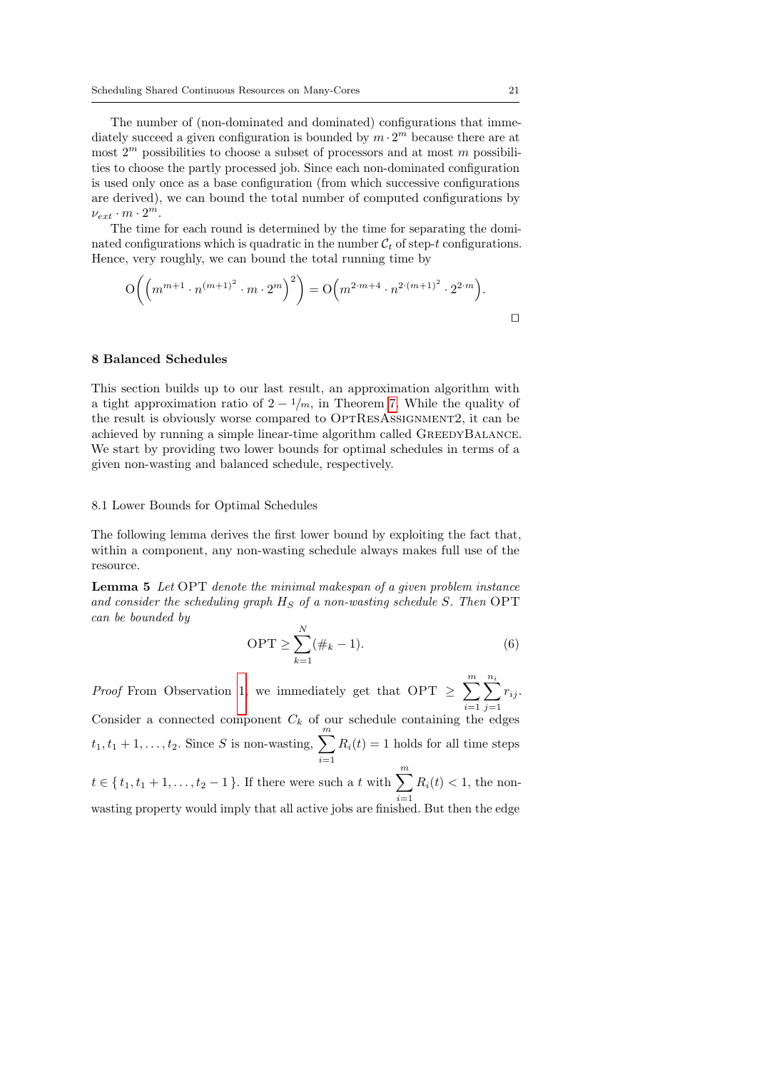The number of (non-dominated and dominated) configurations that immediately succeed a given configuration is bounded by  $m \cdot 2^m$  because there are at most  $2^m$  possibilities to choose a subset of processors and at most m possibilities to choose the partly processed job. Since each non-dominated configuration is used only once as a base configuration (from which successive configurations are derived), we can bound the total number of computed configurations by  $\nu_{ext} \cdot m \cdot 2^m$ .

The time for each round is determined by the time for separating the dominated configurations which is quadratic in the number  $C_t$  of step-t configurations. Hence, very roughly, we can bound the total running time by

$$
O((m^{m+1} \cdot n^{(m+1)^2} \cdot m \cdot 2^m)^2) = O(m^{2 \cdot m+4} \cdot n^{2 \cdot (m+1)^2} \cdot 2^{2 \cdot m}).
$$

#### <span id="page-20-0"></span>8 Balanced Schedules

This section builds up to our last result, an approximation algorithm with a tight approximation ratio of  $2 - \frac{1}{m}$ , in Theorem [7.](#page-22-0) While the quality of the result is obviously worse compared to OPTRESASSIGNMENT2, it can be achieved by running a simple linear-time algorithm called GREEDYBALANCE. We start by providing two lower bounds for optimal schedules in terms of a given non-wasting and balanced schedule, respectively.

## 8.1 Lower Bounds for Optimal Schedules

<span id="page-20-1"></span>The following lemma derives the first lower bound by exploiting the fact that, within a component, any non-wasting schedule always makes full use of the resource.

Lemma 5 Let OPT denote the minimal makespan of a given problem instance and consider the scheduling graph  $H_S$  of a non-wasting schedule S. Then OPT can be bounded by

$$
\text{OPT} \ge \sum_{k=1}^{N} (\#_k - 1). \tag{6}
$$

*Proof* From Observation [1,](#page-6-0) we immediately get that OPT  $\geq \sum_{n=1}^{m}$  $i=1$  $\sum_{i=1}^{n_i}$  $j=1$  $r_{ij}$ . Consider a connected component  $C_k$  of our schedule containing the edges  $t_1, t_1 + 1, \ldots, t_2$ . Since S is non-wasting,  $\sum_{n=1}^{m}$  $i=1$  $R_i(t) = 1$  holds for all time steps  $t \in \{t_1, t_1 + 1, \ldots, t_2 - 1\}$ . If there were such a t with  $\sum_{n=1}^{m}$  $i=1$  $R_i(t) < 1$ , the nonwasting property would imply that all active jobs are finished. But then the edge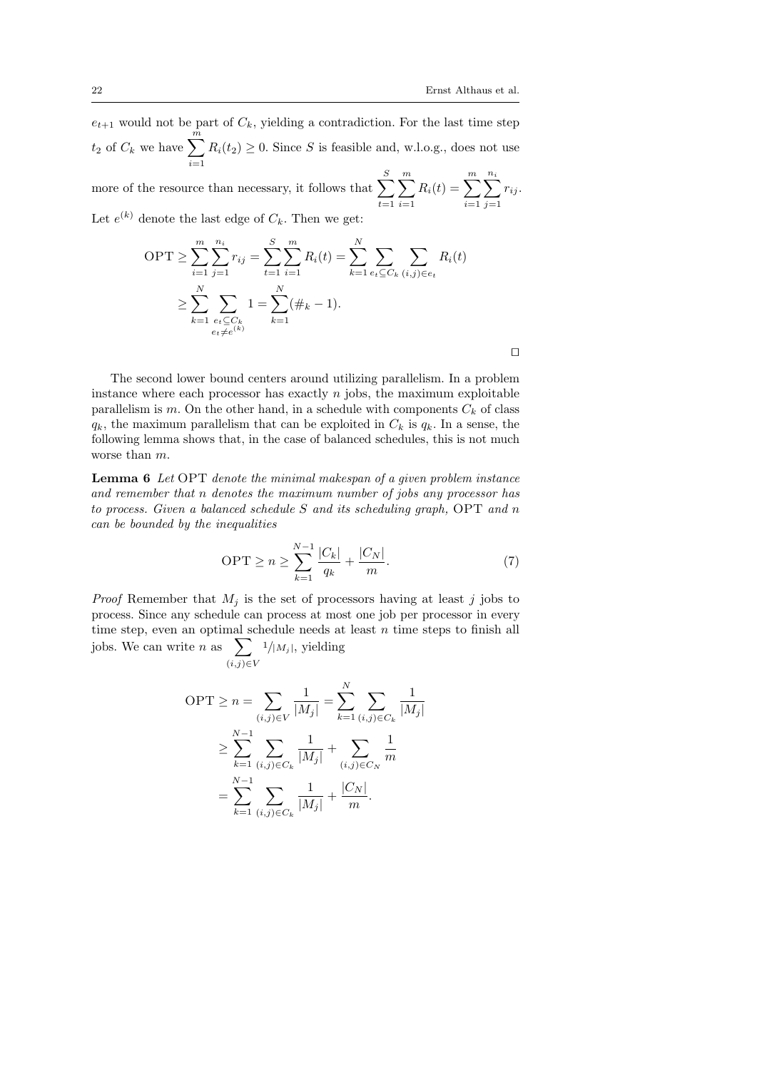$\Box$ 

 $e_{t+1}$  would not be part of  $C_k$ , yielding a contradiction. For the last time step  $t_2$  of  $C_k$  we have  $\sum_{k=1}^m$  $\frac{i=1}{i}$  $R_i(t_2) \geq 0$ . Since S is feasible and, w.l.o.g., does not use more of the resource than necessary, it follows that  $\sum_{n=1}^{S}$  $\sum_{ }^m$  $R_i(t) = \sum_{i=1}^{m}$  $\sum_{i=1}^{n_i}$ 

 $t=1$  $i=1$  $i=1$  $j=1$  $r_{ij}$ . Let  $e^{(k)}$  denote the last edge of  $C_k$ . Then we get:

$$
OPT \ge \sum_{i=1}^{m} \sum_{j=1}^{n_i} r_{ij} = \sum_{t=1}^{S} \sum_{i=1}^{m} R_i(t) = \sum_{k=1}^{N} \sum_{e_t \subseteq C_k} \sum_{(i,j) \in e_t} R_i(t)
$$
  

$$
\ge \sum_{k=1}^{N} \sum_{\substack{e_t \subseteq C_k \\ e_t \ne e^{(k)}}} 1 = \sum_{k=1}^{N} (\#_k - 1).
$$

The second lower bound centers around utilizing parallelism. In a problem instance where each processor has exactly  $n$  jobs, the maximum exploitable parallelism is m. On the other hand, in a schedule with components  $C_k$  of class  $q_k$ , the maximum parallelism that can be exploited in  $C_k$  is  $q_k$ . In a sense, the following lemma shows that, in the case of balanced schedules, this is not much worse than m.

<span id="page-21-0"></span>Lemma 6 Let OPT denote the minimal makespan of a given problem instance and remember that n denotes the maximum number of jobs any processor has to process. Given a balanced schedule S and its scheduling graph, OPT and n can be bounded by the inequalities

$$
\text{OPT} \ge n \ge \sum_{k=1}^{N-1} \frac{|C_k|}{q_k} + \frac{|C_N|}{m}.\tag{7}
$$

*Proof* Remember that  $M_j$  is the set of processors having at least j jobs to process. Since any schedule can process at most one job per processor in every time step, even an optimal schedule needs at least  $n$  time steps to finish all jobs. We can write *n* as  $\sum$  $(i,j) \in V$  $1/|M_j|$ , yielding

$$
OPT \ge n = \sum_{(i,j)\in V} \frac{1}{|M_j|} = \sum_{k=1}^N \sum_{(i,j)\in C_k} \frac{1}{|M_j|}
$$
  
\n
$$
\ge \sum_{k=1}^{N-1} \sum_{(i,j)\in C_k} \frac{1}{|M_j|} + \sum_{(i,j)\in C_N} \frac{1}{m}
$$
  
\n
$$
= \sum_{k=1}^{N-1} \sum_{(i,j)\in C_k} \frac{1}{|M_j|} + \frac{|C_N|}{m}.
$$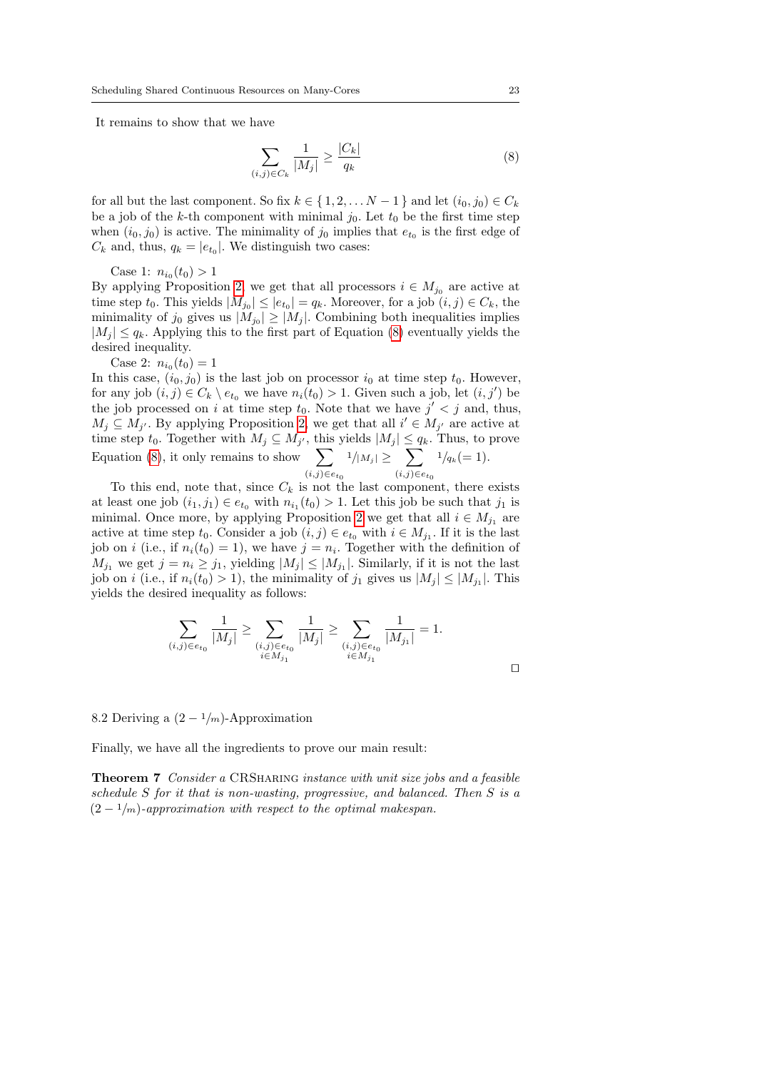It remains to show that we have

<span id="page-22-1"></span>
$$
\sum_{(i,j)\in C_k} \frac{1}{|M_j|} \ge \frac{|C_k|}{q_k} \tag{8}
$$

for all but the last component. So fix  $k \in \{1, 2, \ldots N-1\}$  and let  $(i_0, j_0) \in C_k$ be a job of the k-th component with minimal  $j_0$ . Let  $t_0$  be the first time step when  $(i_0, j_0)$  is active. The minimality of  $j_0$  implies that  $e_{t_0}$  is the first edge of  $C_k$  and, thus,  $q_k = |e_{t_0}|$ . We distinguish two cases:

Case 1:  $n_{i_0}(t_0) > 1$ 

By applying Proposition [2,](#page-10-3) we get that all processors  $i \in M_{j_0}$  are active at time step  $t_0$ . This yields  $|M_{j_0}| \leq |e_{t_0}| = q_k$ . Moreover, for a job  $(i, j) \in C_k$ , the minimality of  $j_0$  gives us  $|M_{j_0}| \geq |M_j|$ . Combining both inequalities implies  $|M_i| \leq q_k$ . Applying this to the first part of Equation [\(8\)](#page-22-1) eventually yields the desired inequality.

Case 2:  $n_{i_0}(t_0) = 1$ 

In this case,  $(i_0, j_0)$  is the last job on processor  $i_0$  at time step  $t_0$ . However, for any job  $(i, j) \in C_k \setminus e_{t_0}$  we have  $n_i(t_0) > 1$ . Given such a job, let  $(i, j')$  be the job processed on i at time step  $t_0$ . Note that we have  $j' < j$  and, thus,  $M_j \subseteq M_{j'}$ . By applying Proposition [2,](#page-10-3) we get that all  $i' \in M_{j'}$  are active at time step  $t_0$ . Together with  $M_j \subseteq M_{j'}$ , this yields  $|M_j| \le q_k$ . Thus, to prove Equation [\(8\)](#page-22-1), it only remains to show  $\sum$  $(i,j)∈e_{t_0}$  $1/|M_j| \geq \sum$  $(i,j)∈e_{t_0}$  $1/q_k (= 1).$ 

To this end, note that, since  $C_k$  is not the last component, there exists at least one job  $(i_1, j_1) \in e_{t_0}$  with  $n_{i_1}(t_0) > 1$ . Let this job be such that  $j_1$  is minimal. Once more, by applying Proposition [2](#page-10-3) we get that all  $i \in M_{j_1}$  are active at time step  $t_0$ . Consider a job  $(i, j) \in e_{t_0}$  with  $i \in M_{j_1}$ . If it is the last job on *i* (i.e., if  $n_i(t_0) = 1$ ), we have  $j = n_i$ . Together with the definition of  $M_{j_1}$  we get  $j = n_i \geq j_1$ , yielding  $|M_j| \leq |M_{j_1}|$ . Similarly, if it is not the last job on *i* (i.e., if  $n_i(t_0) > 1$ ), the minimality of  $j_1$  gives us  $|M_j| \leq |M_{j_1}|$ . This yields the desired inequality as follows:

$$
\sum_{(i,j)\in e_{t_0}}\frac{1}{|M_j|}\geq \sum_{\substack{(i,j)\in e_{t_0}\\i\in M_{j_1}}}\frac{1}{|M_j|}\geq \sum_{\substack{(i,j)\in e_{t_0}\\i\in M_{j_1}}}\frac{1}{|M_{j_1}|}=1.
$$

<span id="page-22-2"></span>8.2 Deriving a  $(2 - \frac{1}{m})$ -Approximation

<span id="page-22-0"></span>Finally, we have all the ingredients to prove our main result:

Theorem 7 Consider a CRSHARING instance with unit size jobs and a feasible schedule S for it that is non-wasting, progressive, and balanced. Then S is a  $(2 - \frac{1}{m})$ -approximation with respect to the optimal makespan.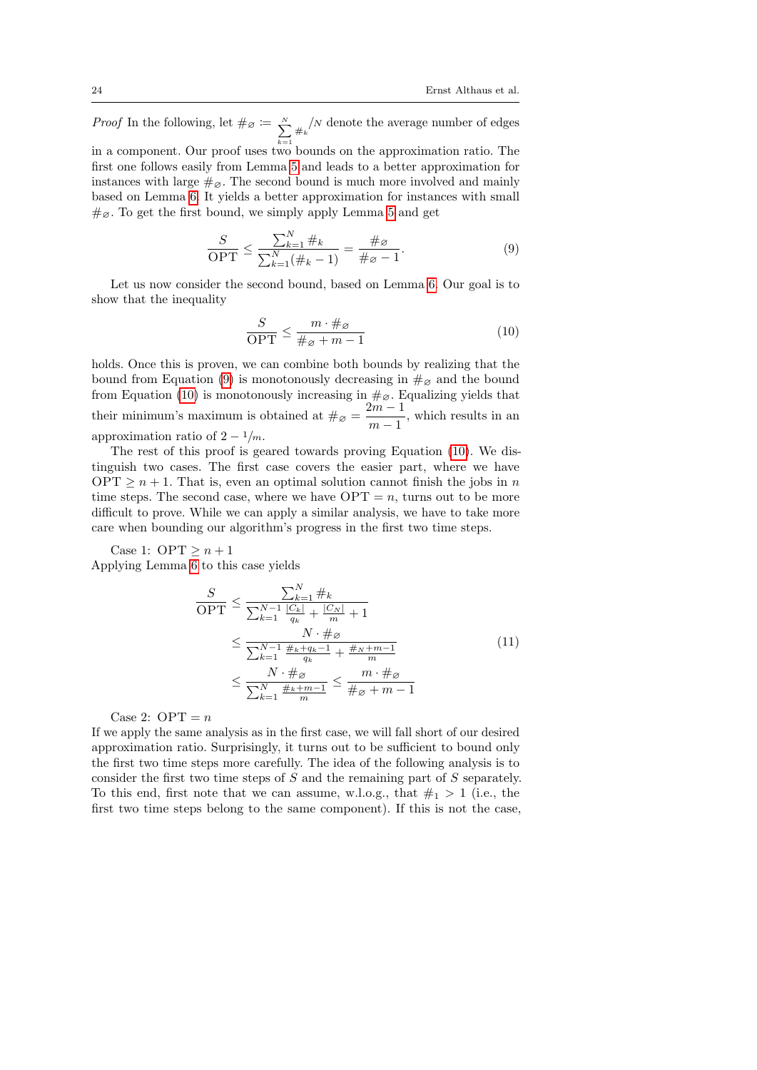*Proof* In the following, let  $\#_{\varnothing} \coloneqq \frac{N}{\sum_{i=1}^{N}}$  $\sum_{k=1}^{N}$  # $_{k}$ <sup>/N</sup> denote the average number of edges in a component. Our proof uses two bounds on the approximation ratio. The first one follows easily from Lemma [5](#page-20-1) and leads to a better approximation for instances with large  $\#_{\varnothing}$ . The second bound is much more involved and mainly based on Lemma [6.](#page-21-0) It yields a better approximation for instances with small  $\#_{\varnothing}$ . To get the first bound, we simply apply Lemma [5](#page-20-1) and get

<span id="page-23-0"></span>
$$
\frac{S}{\text{OPT}} \le \frac{\sum_{k=1}^{N} \#_k}{\sum_{k=1}^{N} (\#_k - 1)} = \frac{\#_S}{\#_S - 1}.
$$
\n(9)

Let us now consider the second bound, based on Lemma [6.](#page-21-0) Our goal is to show that the inequality

<span id="page-23-1"></span>
$$
\frac{S}{\text{OPT}} \le \frac{m \cdot \#_{\varnothing}}{\#_{\varnothing} + m - 1} \tag{10}
$$

holds. Once this is proven, we can combine both bounds by realizing that the bound from Equation [\(9\)](#page-23-0) is monotonously decreasing in  $\#_{\varnothing}$  and the bound from Equation [\(10\)](#page-23-1) is monotonously increasing in  $\#_{\varnothing}$ . Equalizing yields that their minimum's maximum is obtained at  $\#_{\varnothing} = \frac{2m-1}{1}$  $\frac{mn-1}{m-1}$ , which results in an approximation ratio of  $2 - \frac{1}{m}$ .

The rest of this proof is geared towards proving Equation [\(10\)](#page-23-1). We distinguish two cases. The first case covers the easier part, where we have  $OPT \geq n+1$ . That is, even an optimal solution cannot finish the jobs in n time steps. The second case, where we have  $\text{OPT} = n$ , turns out to be more difficult to prove. While we can apply a similar analysis, we have to take more care when bounding our algorithm's progress in the first two time steps.

Case 1: OPT  $\geq n+1$ Applying Lemma [6](#page-21-0) to this case yields

$$
\frac{S}{\text{OPT}} \le \frac{\sum_{k=1}^{N} \#_{k}}{\sum_{k=1}^{N-1} \frac{|C_{k}|}{q_{k}} + \frac{|C_{N}|}{m} + 1} \n\le \frac{N \cdot \#_{\varnothing}}{\sum_{k=1}^{N-1} \frac{\#_{k} + q_{k} - 1}{q_{k}} + \frac{\#_{N} + m - 1}{m}} \n\le \frac{N \cdot \#_{\varnothing}}{\sum_{k=1}^{N} \frac{\#_{k} + m - 1}{m}} \le \frac{m \cdot \#_{\varnothing}}{\#_{\varnothing} + m - 1}
$$
\n(11)

Case 2:  $OPT = n$ 

If we apply the same analysis as in the first case, we will fall short of our desired approximation ratio. Surprisingly, it turns out to be sufficient to bound only the first two time steps more carefully. The idea of the following analysis is to consider the first two time steps of S and the remaining part of S separately. To this end, first note that we can assume, w.l.o.g., that  $#_1 > 1$  (i.e., the first two time steps belong to the same component). If this is not the case,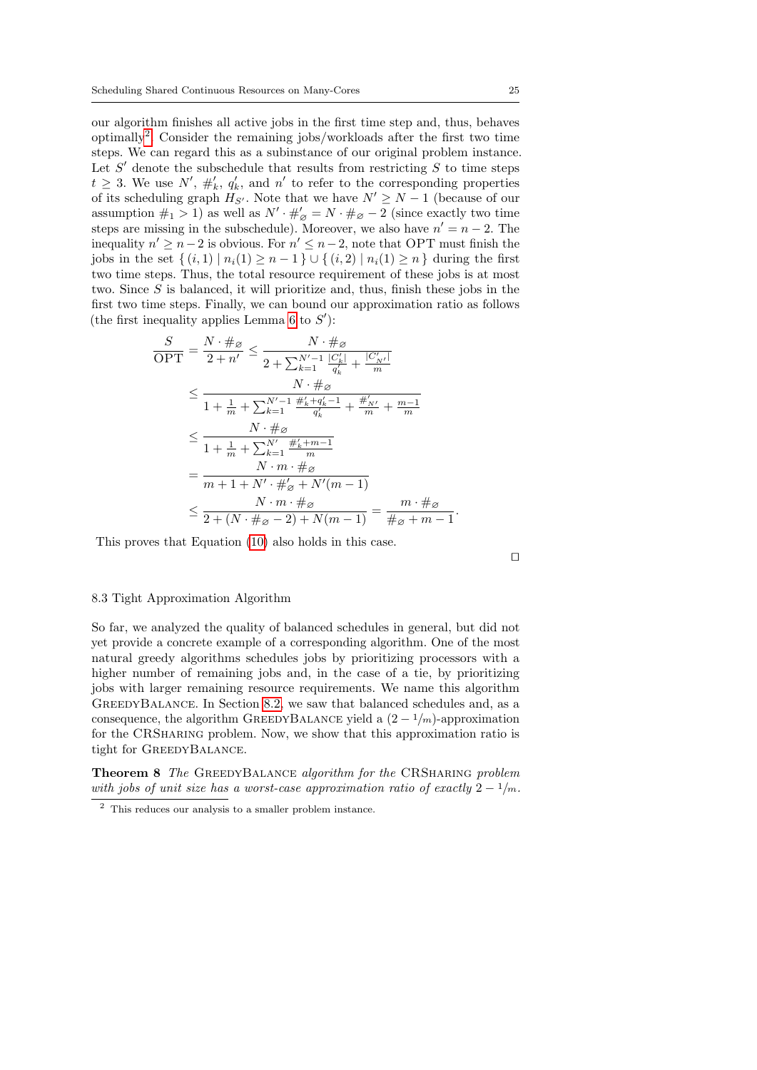our algorithm finishes all active jobs in the first time step and, thus, behaves optimally<sup>[2](#page-24-0)</sup>. Consider the remaining jobs/workloads after the first two time steps. We can regard this as a subinstance of our original problem instance. Let  $S'$  denote the subschedule that results from restricting  $S$  to time steps  $t \geq 3$ . We use N',  $\#'_k$ ,  $q'_k$ , and n' to refer to the corresponding properties of its scheduling graph  $H_{S'}$ . Note that we have  $N' \ge N - 1$  (because of our assumption  $\#_1 > 1$ ) as well as  $N' \cdot \#_{\varnothing} = N \cdot \#_{\varnothing} - 2$  (since exactly two time steps are missing in the subschedule). Moreover, we also have  $n' = n - 2$ . The inequality  $n' \geq n-2$  is obvious. For  $n' \leq n-2$ , note that OPT must finish the jobs in the set  $\{(i,1) | n_i(1) \geq n-1\} \cup \{(i,2) | n_i(1) \geq n\}$  during the first two time steps. Thus, the total resource requirement of these jobs is at most two. Since  $S$  is balanced, it will prioritize and, thus, finish these jobs in the first two time steps. Finally, we can bound our approximation ratio as follows (the first inequality applies Lemma [6](#page-21-0) to  $S'$ ):

$$
\frac{S}{\text{OPT}} = \frac{N \cdot \#_{\varnothing}}{2 + n'} \le \frac{N \cdot \#_{\varnothing}}{2 + \sum_{k=1}^{N'-1} \frac{|C'_k|}{q'_k} + \frac{|C'_{N'}|}{m}}
$$
\n
$$
\le \frac{N \cdot \#_{\varnothing}}{1 + \frac{1}{m} + \sum_{k=1}^{N'-1} \frac{\#'_k + q'_k - 1}{q'_k} + \frac{\#'_{N'}}{m} + \frac{m-1}{m}}
$$
\n
$$
\le \frac{N \cdot \#_{\varnothing}}{1 + \frac{1}{m} + \sum_{k=1}^{N'} \frac{\#'_k + m - 1}{m}}
$$
\n
$$
= \frac{N \cdot m \cdot \#_{\varnothing}}{m + 1 + N' \cdot \#'_\varnothing + N'(m - 1)}
$$
\n
$$
\le \frac{N \cdot m \cdot \#_{\varnothing}}{2 + (N \cdot \#_{\varnothing} - 2) + N(m - 1)} = \frac{m \cdot \#_{\varnothing}}{\#_{\varnothing} + m - 1}
$$

This proves that Equation [\(10\)](#page-23-1) also holds in this case.

 $\Box$ 

.

#### 8.3 Tight Approximation Algorithm

So far, we analyzed the quality of balanced schedules in general, but did not yet provide a concrete example of a corresponding algorithm. One of the most natural greedy algorithms schedules jobs by prioritizing processors with a higher number of remaining jobs and, in the case of a tie, by prioritizing jobs with larger remaining resource requirements. We name this algorithm GreedyBalance. In Section [8.2,](#page-22-2) we saw that balanced schedules and, as a consequence, the algorithm GREEDYBALANCE yield a  $(2 - \frac{1}{m})$ -approximation for the CRSharing problem. Now, we show that this approximation ratio is tight for GREEDYBALANCE.

<span id="page-24-1"></span>**Theorem 8** The GREEDYBALANCE algorithm for the CRSHARING problem with jobs of unit size has a worst-case approximation ratio of exactly  $2 - \frac{1}{m}$ .

<span id="page-24-0"></span><sup>&</sup>lt;sup>2</sup> This reduces our analysis to a smaller problem instance.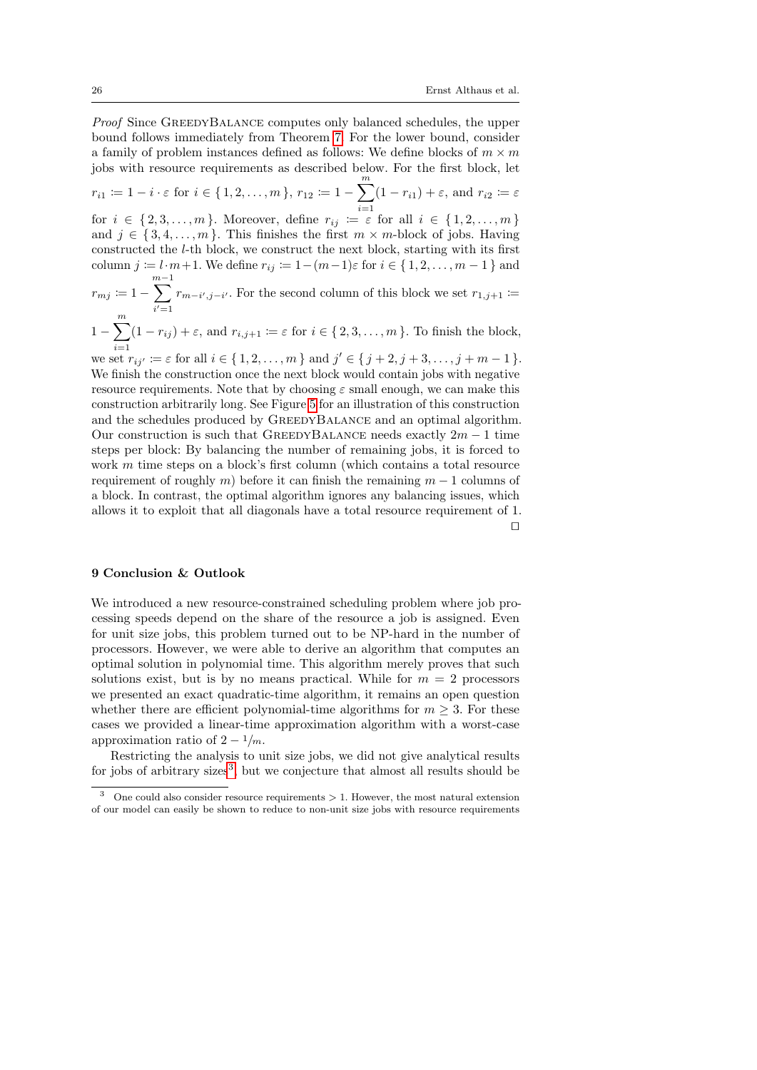Proof Since GREEDYBALANCE computes only balanced schedules, the upper bound follows immediately from Theorem [7.](#page-22-0) For the lower bound, consider a family of problem instances defined as follows: We define blocks of  $m \times m$ jobs with resource requirements as described below. For the first block, let

$$
r_{i1} := 1 - i \cdot \varepsilon
$$
 for  $i \in \{1, 2, ..., m\}$ ,  $r_{12} := 1 - \sum_{i=1}^{m} (1 - r_{i1}) + \varepsilon$ , and  $r_{i2} := \varepsilon$ 

for  $i \in \{2, 3, \ldots, m\}$ . Moreover, define  $r_{ij} := \varepsilon$  for all  $i \in \{1, 2, \ldots, m\}$ and  $j \in \{3, 4, \ldots, m\}$ . This finishes the first  $m \times m$ -block of jobs. Having constructed the l-th block, we construct the next block, starting with its first column  $j \coloneqq l \cdot m + 1$ . We define  $r_{ij} \coloneqq 1 - (m-1)\varepsilon$  for  $i \in \{1, 2, \ldots, m-1\}$  and

 $r_{mj} \coloneqq 1$  –  $\sum^{m-1}$  $i'=1$  $r_{m-i',j-i'}$ . For the second column of this block we set  $r_{1,j+1} \coloneqq$ 

$$
1 - \sum_{i=1}^{m} (1 - r_{ij}) + \varepsilon
$$
, and  $r_{i,j+1} := \varepsilon$  for  $i \in \{2, 3, \dots, m\}$ . To finish the block,

we set  $r_{ij'} \coloneqq \varepsilon$  for all  $i \in \{1, 2, ..., m\}$  and  $j' \in \{j + 2, j + 3, ..., j + m - 1\}$ . We finish the construction once the next block would contain jobs with negative resource requirements. Note that by choosing  $\varepsilon$  small enough, we can make this construction arbitrarily long. See Figure [5](#page-26-0) for an illustration of this construction and the schedules produced by GREEDYBALANCE and an optimal algorithm. Our construction is such that GREEDYBALANCE needs exactly  $2m - 1$  time steps per block: By balancing the number of remaining jobs, it is forced to work m time steps on a block's first column (which contains a total resource requirement of roughly m) before it can finish the remaining  $m - 1$  columns of a block. In contrast, the optimal algorithm ignores any balancing issues, which allows it to exploit that all diagonals have a total resource requirement of 1.  $\Box$ 

#### <span id="page-25-0"></span>9 Conclusion & Outlook

We introduced a new resource-constrained scheduling problem where job processing speeds depend on the share of the resource a job is assigned. Even for unit size jobs, this problem turned out to be NP-hard in the number of processors. However, we were able to derive an algorithm that computes an optimal solution in polynomial time. This algorithm merely proves that such solutions exist, but is by no means practical. While for  $m = 2$  processors we presented an exact quadratic-time algorithm, it remains an open question whether there are efficient polynomial-time algorithms for  $m \geq 3$ . For these cases we provided a linear-time approximation algorithm with a worst-case approximation ratio of  $2 - \frac{1}{m}$ .

Restricting the analysis to unit size jobs, we did not give analytical results for jobs of arbitrary sizes<sup>[3](#page-25-1)</sup>, but we conjecture that almost all results should be

<span id="page-25-1"></span>One could also consider resource requirements  $> 1$ . However, the most natural extension of our model can easily be shown to reduce to non-unit size jobs with resource requirements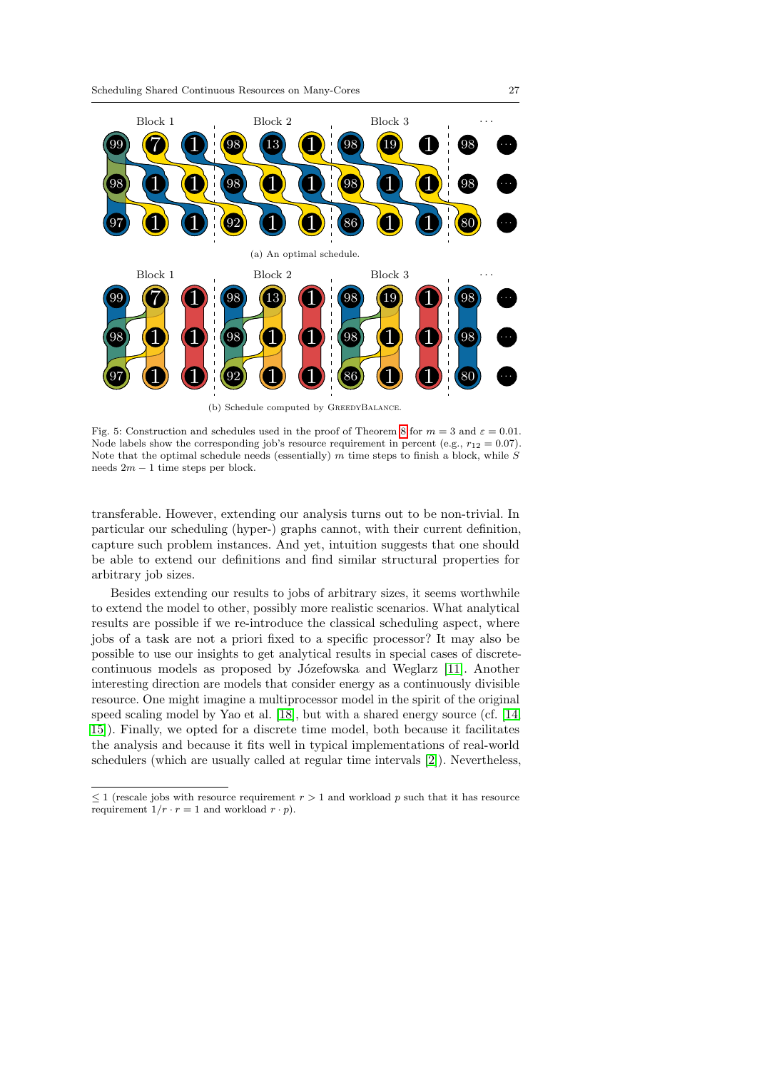<span id="page-26-0"></span>

(b) Schedule computed by GREEDYBALANCE.

Fig. 5: Construction and schedules used in the proof of Theorem [8](#page-24-1) for  $m = 3$  and  $\varepsilon = 0.01$ . Node labels show the corresponding job's resource requirement in percent (e.g.,  $r_{12} = 0.07$ ). Note that the optimal schedule needs (essentially)  $m$  time steps to finish a block, while  $S$ needs  $2m - 1$  time steps per block.

transferable. However, extending our analysis turns out to be non-trivial. In particular our scheduling (hyper-) graphs cannot, with their current definition, capture such problem instances. And yet, intuition suggests that one should be able to extend our definitions and find similar structural properties for arbitrary job sizes.

Besides extending our results to jobs of arbitrary sizes, it seems worthwhile to extend the model to other, possibly more realistic scenarios. What analytical results are possible if we re-introduce the classical scheduling aspect, where jobs of a task are not a priori fixed to a specific processor? It may also be possible to use our insights to get analytical results in special cases of discrete-continuous models as proposed by Józefowska and Weglarz [\[11\]](#page-27-6). Another interesting direction are models that consider energy as a continuously divisible resource. One might imagine a multiprocessor model in the spirit of the original speed scaling model by Yao et al. [\[18\]](#page-27-15), but with a shared energy source (cf. [\[14,](#page-27-16) [15\]](#page-27-17)). Finally, we opted for a discrete time model, both because it facilitates the analysis and because it fits well in typical implementations of real-world schedulers (which are usually called at regular time intervals [\[2\]](#page-27-18)). Nevertheless,

 $\leq 1$  (rescale jobs with resource requirement  $r > 1$  and workload p such that it has resource requirement  $1/r \cdot r = 1$  and workload  $r \cdot p$ .